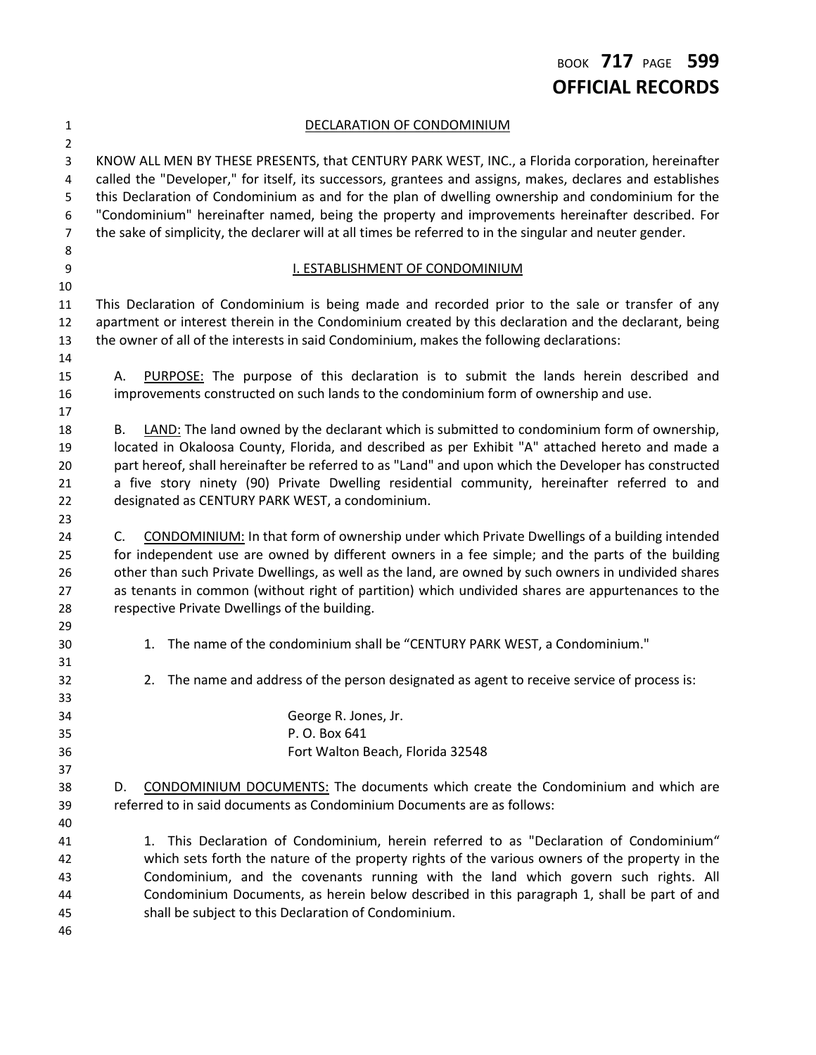# BOOK **717** PAGE **599 OFFICIAL RECORDS**

 DECLARATION OF CONDOMINIUM KNOW ALL MEN BY THESE PRESENTS, that CENTURY PARK WEST, INC., a Florida corporation, hereinafter called the "Developer," for itself, its successors, grantees and assigns, makes, declares and establishes this Declaration of Condominium as and for the plan of dwelling ownership and condominium for the "Condominium" hereinafter named, being the property and improvements hereinafter described. For the sake of simplicity, the declarer will at all times be referred to in the singular and neuter gender. **I. ESTABLISHMENT OF CONDOMINIUM**  This Declaration of Condominium is being made and recorded prior to the sale or transfer of any apartment or interest therein in the Condominium created by this declaration and the declarant, being the owner of all of the interests in said Condominium, makes the following declarations: A. PURPOSE: The purpose of this declaration is to submit the lands herein described and improvements constructed on such lands to the condominium form of ownership and use. B. LAND: The land owned by the declarant which is submitted to condominium form of ownership, located in Okaloosa County, Florida, and described as per Exhibit "A" attached hereto and made a part hereof, shall hereinafter be referred to as "Land" and upon which the Developer has constructed a five story ninety (90) Private Dwelling residential community, hereinafter referred to and designated as CENTURY PARK WEST, a condominium. C. CONDOMINIUM: In that form of ownership under which Private Dwellings of a building intended for independent use are owned by different owners in a fee simple; and the parts of the building other than such Private Dwellings, as well as the land, are owned by such owners in undivided shares as tenants in common (without right of partition) which undivided shares are appurtenances to the respective Private Dwellings of the building. 1. The name of the condominium shall be "CENTURY PARK WEST, a Condominium." 2. The name and address of the person designated as agent to receive service of process is: George R. Jones, Jr. P. O. Box 641 Fort Walton Beach, Florida 32548 D. CONDOMINIUM DOCUMENTS: The documents which create the Condominium and which are referred to in said documents as Condominium Documents are as follows: 41 1. This Declaration of Condominium, herein referred to as "Declaration of Condominium" which sets forth the nature of the property rights of the various owners of the property in the

 Condominium, and the covenants running with the land which govern such rights. All Condominium Documents, as herein below described in this paragraph 1, shall be part of and shall be subject to this Declaration of Condominium.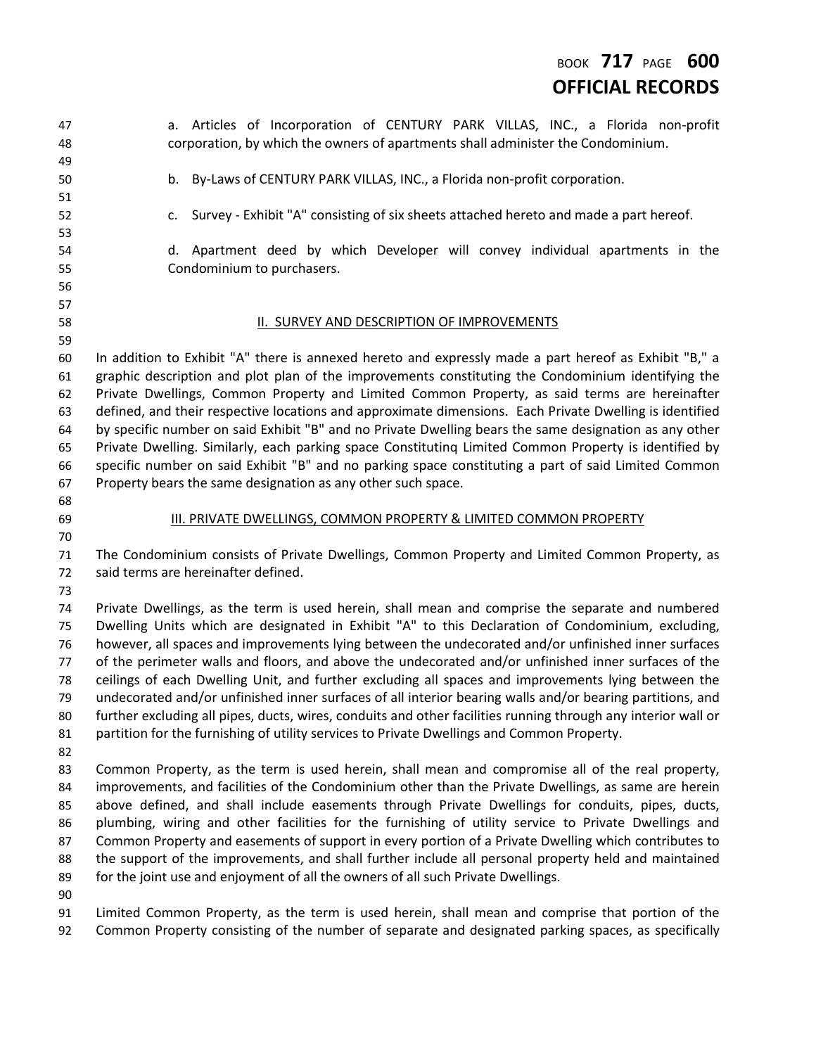### BOOK **717** PAGE **600 OFFICIAL RECORDS**

- a. Articles of Incorporation of CENTURY PARK VILLAS, INC., a Florida non-profit corporation, by which the owners of apartments shall administer the Condominium. b. By-Laws of CENTURY PARK VILLAS, INC., a Florida non-profit corporation. c. Survey - Exhibit "A" consisting of six sheets attached hereto and made a part hereof. d. Apartment deed by which Developer will convey individual apartments in the Condominium to purchasers. II. SURVEY AND DESCRIPTION OF IMPROVEMENTS In addition to Exhibit "A" there is annexed hereto and expressly made a part hereof as Exhibit "B," a graphic description and plot plan of the improvements constituting the Condominium identifying the Private Dwellings, Common Property and Limited Common Property, as said terms are hereinafter defined, and their respective locations and approximate dimensions. Each Private Dwelling is identified by specific number on said Exhibit "B" and no Private Dwelling bears the same designation as any other Private Dwelling. Similarly, each parking space Constitutinq Limited Common Property is identified by specific number on said Exhibit "B" and no parking space constituting a part of said Limited Common Property bears the same designation as any other such space. III. PRIVATE DWELLINGS, COMMON PROPERTY & LIMITED COMMON PROPERTY The Condominium consists of Private Dwellings, Common Property and Limited Common Property, as said terms are hereinafter defined. Private Dwellings, as the term is used herein, shall mean and comprise the separate and numbered Dwelling Units which are designated in Exhibit "A" to this Declaration of Condominium, excluding, however, all spaces and improvements lying between the undecorated and/or unfinished inner surfaces of the perimeter walls and floors, and above the undecorated and/or unfinished inner surfaces of the ceilings of each Dwelling Unit, and further excluding all spaces and improvements lying between the undecorated and/or unfinished inner surfaces of all interior bearing walls and/or bearing partitions, and further excluding all pipes, ducts, wires, conduits and other facilities running through any interior wall or partition for the furnishing of utility services to Private Dwellings and Common Property. Common Property, as the term is used herein, shall mean and compromise all of the real property, improvements, and facilities of the Condominium other than the Private Dwellings, as same are herein above defined, and shall include easements through Private Dwellings for conduits, pipes, ducts, plumbing, wiring and other facilities for the furnishing of utility service to Private Dwellings and Common Property and easements of support in every portion of a Private Dwelling which contributes to the support of the improvements, and shall further include all personal property held and maintained for the joint use and enjoyment of all the owners of all such Private Dwellings. Limited Common Property, as the term is used herein, shall mean and comprise that portion of the
- Common Property consisting of the number of separate and designated parking spaces, as specifically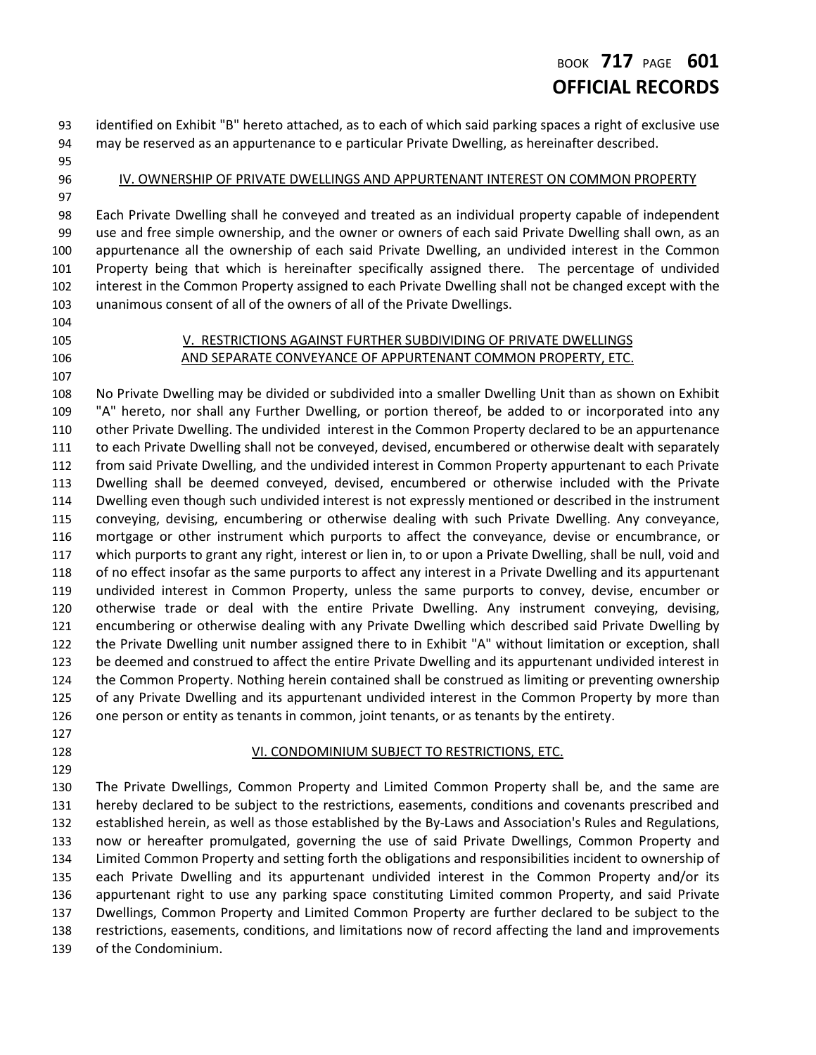# BOOK **717** PAGE **601 OFFICIAL RECORDS**

 identified on Exhibit "B" hereto attached, as to each of which said parking spaces a right of exclusive use may be reserved as an appurtenance to e particular Private Dwelling, as hereinafter described.

- 
- 

96 IV. OWNERSHIP OF PRIVATE DWELLINGS AND APPURTENANT INTEREST ON COMMON PROPERTY

 Each Private Dwelling shall he conveyed and treated as an individual property capable of independent use and free simple ownership, and the owner or owners of each said Private Dwelling shall own, as an appurtenance all the ownership of each said Private Dwelling, an undivided interest in the Common Property being that which is hereinafter specifically assigned there. The percentage of undivided interest in the Common Property assigned to each Private Dwelling shall not be changed except with the unanimous consent of all of the owners of all of the Private Dwellings.

- 
- 
- 

#### V. RESTRICTIONS AGAINST FURTHER SUBDIVIDING OF PRIVATE DWELLINGS AND SEPARATE CONVEYANCE OF APPURTENANT COMMON PROPERTY, ETC.

 No Private Dwelling may be divided or subdivided into a smaller Dwelling Unit than as shown on Exhibit "A" hereto, nor shall any Further Dwelling, or portion thereof, be added to or incorporated into any other Private Dwelling. The undivided interest in the Common Property declared to be an appurtenance to each Private Dwelling shall not be conveyed, devised, encumbered or otherwise dealt with separately from said Private Dwelling, and the undivided interest in Common Property appurtenant to each Private Dwelling shall be deemed conveyed, devised, encumbered or otherwise included with the Private Dwelling even though such undivided interest is not expressly mentioned or described in the instrument conveying, devising, encumbering or otherwise dealing with such Private Dwelling. Any conveyance, mortgage or other instrument which purports to affect the conveyance, devise or encumbrance, or which purports to grant any right, interest or lien in, to or upon a Private Dwelling, shall be null, void and of no effect insofar as the same purports to affect any interest in a Private Dwelling and its appurtenant undivided interest in Common Property, unless the same purports to convey, devise, encumber or otherwise trade or deal with the entire Private Dwelling. Any instrument conveying, devising, encumbering or otherwise dealing with any Private Dwelling which described said Private Dwelling by the Private Dwelling unit number assigned there to in Exhibit "A" without limitation or exception, shall be deemed and construed to affect the entire Private Dwelling and its appurtenant undivided interest in the Common Property. Nothing herein contained shall be construed as limiting or preventing ownership of any Private Dwelling and its appurtenant undivided interest in the Common Property by more than one person or entity as tenants in common, joint tenants, or as tenants by the entirety.

### 128 VI. CONDOMINIUM SUBJECT TO RESTRICTIONS, ETC.

 The Private Dwellings, Common Property and Limited Common Property shall be, and the same are hereby declared to be subject to the restrictions, easements, conditions and covenants prescribed and established herein, as well as those established by the By-Laws and Association's Rules and Regulations, now or hereafter promulgated, governing the use of said Private Dwellings, Common Property and Limited Common Property and setting forth the obligations and responsibilities incident to ownership of each Private Dwelling and its appurtenant undivided interest in the Common Property and/or its appurtenant right to use any parking space constituting Limited common Property, and said Private Dwellings, Common Property and Limited Common Property are further declared to be subject to the restrictions, easements, conditions, and limitations now of record affecting the land and improvements of the Condominium.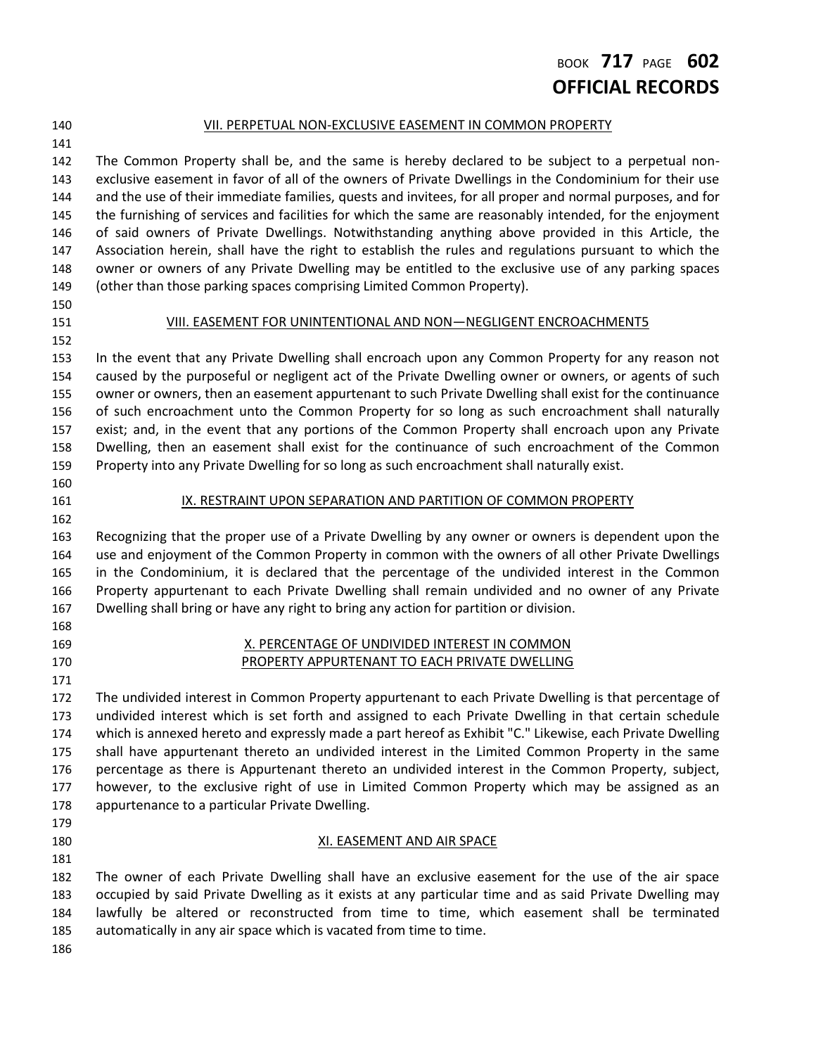# 

#### VII. PERPETUAL NON-EXCLUSIVE EASEMENT IN COMMON PROPERTY

 The Common Property shall be, and the same is hereby declared to be subject to a perpetual non- exclusive easement in favor of all of the owners of Private Dwellings in the Condominium for their use and the use of their immediate families, quests and invitees, for all proper and normal purposes, and for the furnishing of services and facilities for which the same are reasonably intended, for the enjoyment of said owners of Private Dwellings. Notwithstanding anything above provided in this Article, the Association herein, shall have the right to establish the rules and regulations pursuant to which the owner or owners of any Private Dwelling may be entitled to the exclusive use of any parking spaces (other than those parking spaces comprising Limited Common Property).

- 
- 

#### VIII. EASEMENT FOR UNINTENTIONAL AND NON—NEGLIGENT ENCROACHMENT5

 In the event that any Private Dwelling shall encroach upon any Common Property for any reason not caused by the purposeful or negligent act of the Private Dwelling owner or owners, or agents of such owner or owners, then an easement appurtenant to such Private Dwelling shall exist for the continuance of such encroachment unto the Common Property for so long as such encroachment shall naturally exist; and, in the event that any portions of the Common Property shall encroach upon any Private Dwelling, then an easement shall exist for the continuance of such encroachment of the Common Property into any Private Dwelling for so long as such encroachment shall naturally exist.

 

#### 161 IX. RESTRAINT UPON SEPARATION AND PARTITION OF COMMON PROPERTY

 Recognizing that the proper use of a Private Dwelling by any owner or owners is dependent upon the use and enjoyment of the Common Property in common with the owners of all other Private Dwellings in the Condominium, it is declared that the percentage of the undivided interest in the Common Property appurtenant to each Private Dwelling shall remain undivided and no owner of any Private Dwelling shall bring or have any right to bring any action for partition or division.

- 
- 

#### X. PERCENTAGE OF UNDIVIDED INTEREST IN COMMON PROPERTY APPURTENANT TO EACH PRIVATE DWELLING

 The undivided interest in Common Property appurtenant to each Private Dwelling is that percentage of undivided interest which is set forth and assigned to each Private Dwelling in that certain schedule which is annexed hereto and expressly made a part hereof as Exhibit "C." Likewise, each Private Dwelling shall have appurtenant thereto an undivided interest in the Limited Common Property in the same percentage as there is Appurtenant thereto an undivided interest in the Common Property, subject, however, to the exclusive right of use in Limited Common Property which may be assigned as an appurtenance to a particular Private Dwelling.

- 
- 

#### 180 XI. EASEMENT AND AIR SPACE

 The owner of each Private Dwelling shall have an exclusive easement for the use of the air space occupied by said Private Dwelling as it exists at any particular time and as said Private Dwelling may lawfully be altered or reconstructed from time to time, which easement shall be terminated automatically in any air space which is vacated from time to time.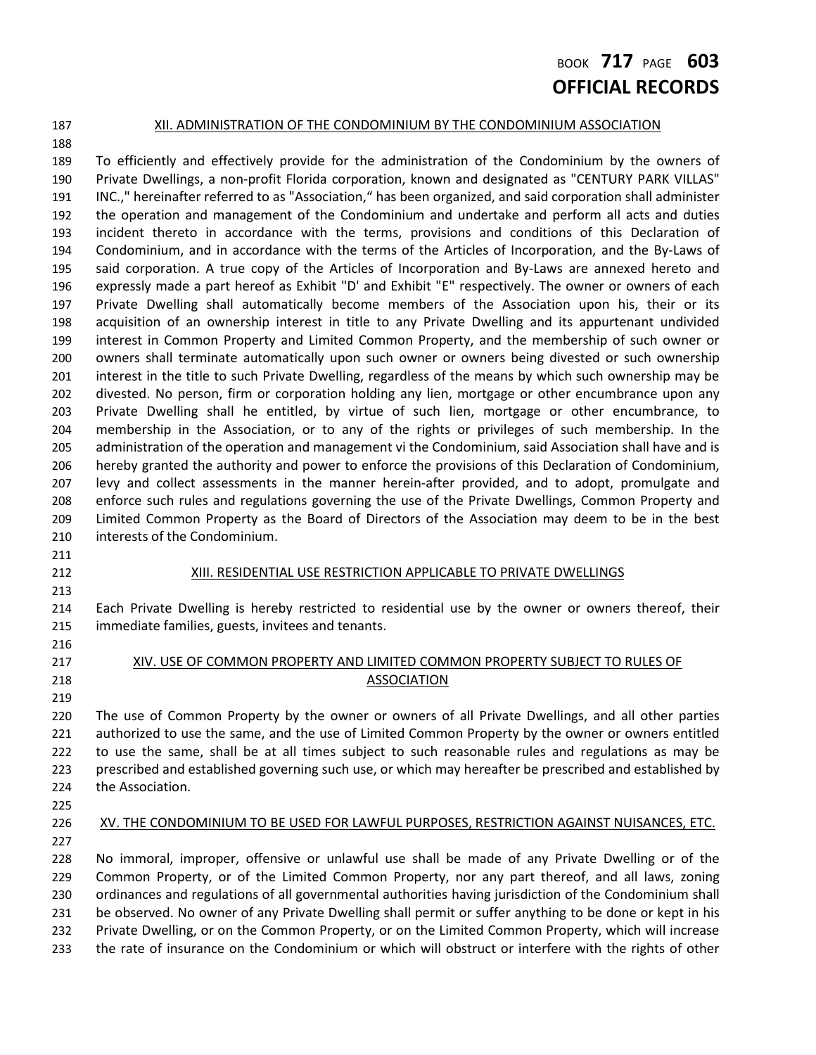### BOOK **717** PAGE **603 OFFICIAL RECORDS**

#### 187 XII. ADMINISTRATION OF THE CONDOMINIUM BY THE CONDOMINIUM ASSOCIATION

 To efficiently and effectively provide for the administration of the Condominium by the owners of Private Dwellings, a non-profit Florida corporation, known and designated as "CENTURY PARK VILLAS" INC.," hereinafter referred to as "Association," has been organized, and said corporation shall administer the operation and management of the Condominium and undertake and perform all acts and duties incident thereto in accordance with the terms, provisions and conditions of this Declaration of Condominium, and in accordance with the terms of the Articles of Incorporation, and the By-Laws of said corporation. A true copy of the Articles of Incorporation and By-Laws are annexed hereto and expressly made a part hereof as Exhibit "D' and Exhibit "E" respectively. The owner or owners of each Private Dwelling shall automatically become members of the Association upon his, their or its acquisition of an ownership interest in title to any Private Dwelling and its appurtenant undivided interest in Common Property and Limited Common Property, and the membership of such owner or owners shall terminate automatically upon such owner or owners being divested or such ownership interest in the title to such Private Dwelling, regardless of the means by which such ownership may be divested. No person, firm or corporation holding any lien, mortgage or other encumbrance upon any Private Dwelling shall he entitled, by virtue of such lien, mortgage or other encumbrance, to membership in the Association, or to any of the rights or privileges of such membership. In the administration of the operation and management vi the Condominium, said Association shall have and is hereby granted the authority and power to enforce the provisions of this Declaration of Condominium, levy and collect assessments in the manner herein-after provided, and to adopt, promulgate and enforce such rules and regulations governing the use of the Private Dwellings, Common Property and Limited Common Property as the Board of Directors of the Association may deem to be in the best interests of the Condominium.

- 
- 

#### XIII. RESIDENTIAL USE RESTRICTION APPLICABLE TO PRIVATE DWELLINGS

 Each Private Dwelling is hereby restricted to residential use by the owner or owners thereof, their immediate families, guests, invitees and tenants.

- 
- 
- 

### XIV. USE OF COMMON PROPERTY AND LIMITED COMMON PROPERTY SUBJECT TO RULES OF 218 ASSOCIATION

 The use of Common Property by the owner or owners of all Private Dwellings, and all other parties authorized to use the same, and the use of Limited Common Property by the owner or owners entitled to use the same, shall be at all times subject to such reasonable rules and regulations as may be prescribed and established governing such use, or which may hereafter be prescribed and established by the Association.

- 
- 

XV. THE CONDOMINIUM TO BE USED FOR LAWFUL PURPOSES, RESTRICTION AGAINST NUISANCES, ETC.

 No immoral, improper, offensive or unlawful use shall be made of any Private Dwelling or of the Common Property, or of the Limited Common Property, nor any part thereof, and all laws, zoning ordinances and regulations of all governmental authorities having jurisdiction of the Condominium shall be observed. No owner of any Private Dwelling shall permit or suffer anything to be done or kept in his Private Dwelling, or on the Common Property, or on the Limited Common Property, which will increase the rate of insurance on the Condominium or which will obstruct or interfere with the rights of other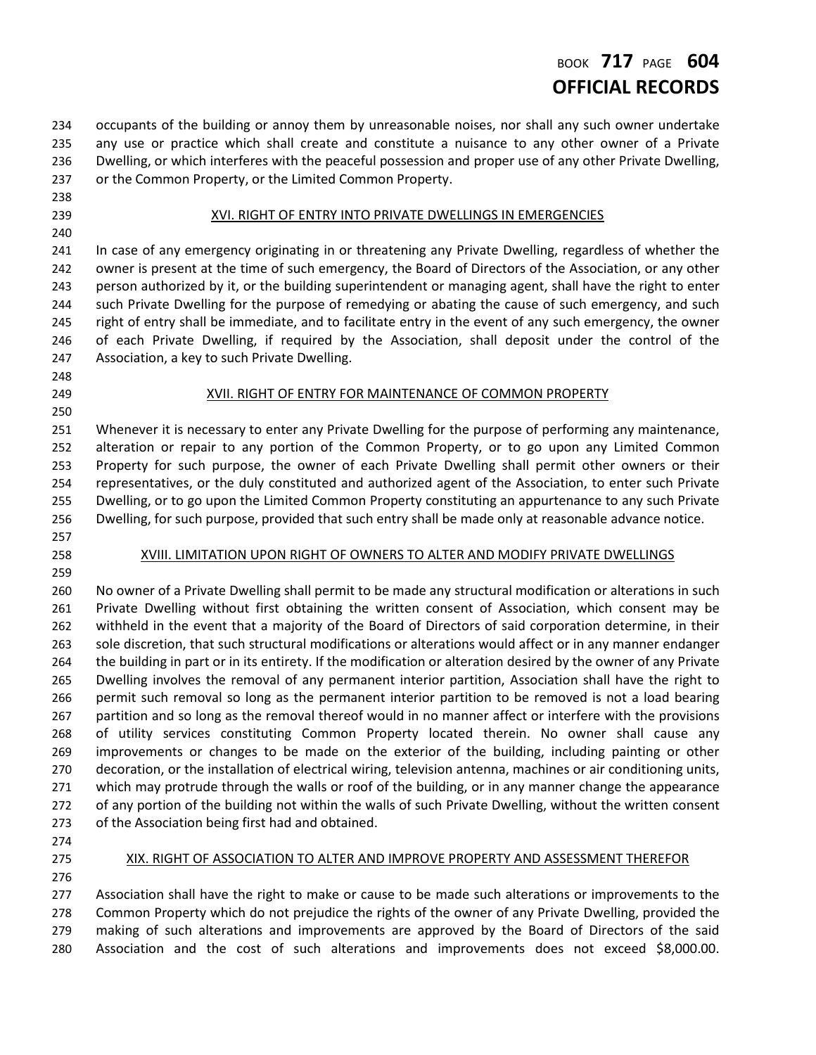### BOOK **717** PAGE **604 OFFICIAL RECORDS**

 occupants of the building or annoy them by unreasonable noises, nor shall any such owner undertake any use or practice which shall create and constitute a nuisance to any other owner of a Private Dwelling, or which interferes with the peaceful possession and proper use of any other Private Dwelling, or the Common Property, or the Limited Common Property.

- 
- 

#### XVI. RIGHT OF ENTRY INTO PRIVATE DWELLINGS IN EMERGENCIES

 In case of any emergency originating in or threatening any Private Dwelling, regardless of whether the owner is present at the time of such emergency, the Board of Directors of the Association, or any other person authorized by it, or the building superintendent or managing agent, shall have the right to enter such Private Dwelling for the purpose of remedying or abating the cause of such emergency, and such right of entry shall be immediate, and to facilitate entry in the event of any such emergency, the owner of each Private Dwelling, if required by the Association, shall deposit under the control of the Association, a key to such Private Dwelling.

- 
- 

#### XVII. RIGHT OF ENTRY FOR MAINTENANCE OF COMMON PROPERTY

 Whenever it is necessary to enter any Private Dwelling for the purpose of performing any maintenance, alteration or repair to any portion of the Common Property, or to go upon any Limited Common Property for such purpose, the owner of each Private Dwelling shall permit other owners or their representatives, or the duly constituted and authorized agent of the Association, to enter such Private Dwelling, or to go upon the Limited Common Property constituting an appurtenance to any such Private Dwelling, for such purpose, provided that such entry shall be made only at reasonable advance notice.

- 
- 

#### XVIII. LIMITATION UPON RIGHT OF OWNERS TO ALTER AND MODIFY PRIVATE DWELLINGS

 No owner of a Private Dwelling shall permit to be made any structural modification or alterations in such Private Dwelling without first obtaining the written consent of Association, which consent may be withheld in the event that a majority of the Board of Directors of said corporation determine, in their 263 sole discretion, that such structural modifications or alterations would affect or in any manner endanger the building in part or in its entirety. If the modification or alteration desired by the owner of any Private Dwelling involves the removal of any permanent interior partition, Association shall have the right to permit such removal so long as the permanent interior partition to be removed is not a load bearing partition and so long as the removal thereof would in no manner affect or interfere with the provisions of utility services constituting Common Property located therein. No owner shall cause any improvements or changes to be made on the exterior of the building, including painting or other decoration, or the installation of electrical wiring, television antenna, machines or air conditioning units, which may protrude through the walls or roof of the building, or in any manner change the appearance of any portion of the building not within the walls of such Private Dwelling, without the written consent of the Association being first had and obtained.

- 
- 

#### XIX. RIGHT OF ASSOCIATION TO ALTER AND IMPROVE PROPERTY AND ASSESSMENT THEREFOR

 Association shall have the right to make or cause to be made such alterations or improvements to the Common Property which do not prejudice the rights of the owner of any Private Dwelling, provided the making of such alterations and improvements are approved by the Board of Directors of the said Association and the cost of such alterations and improvements does not exceed \$8,000.00.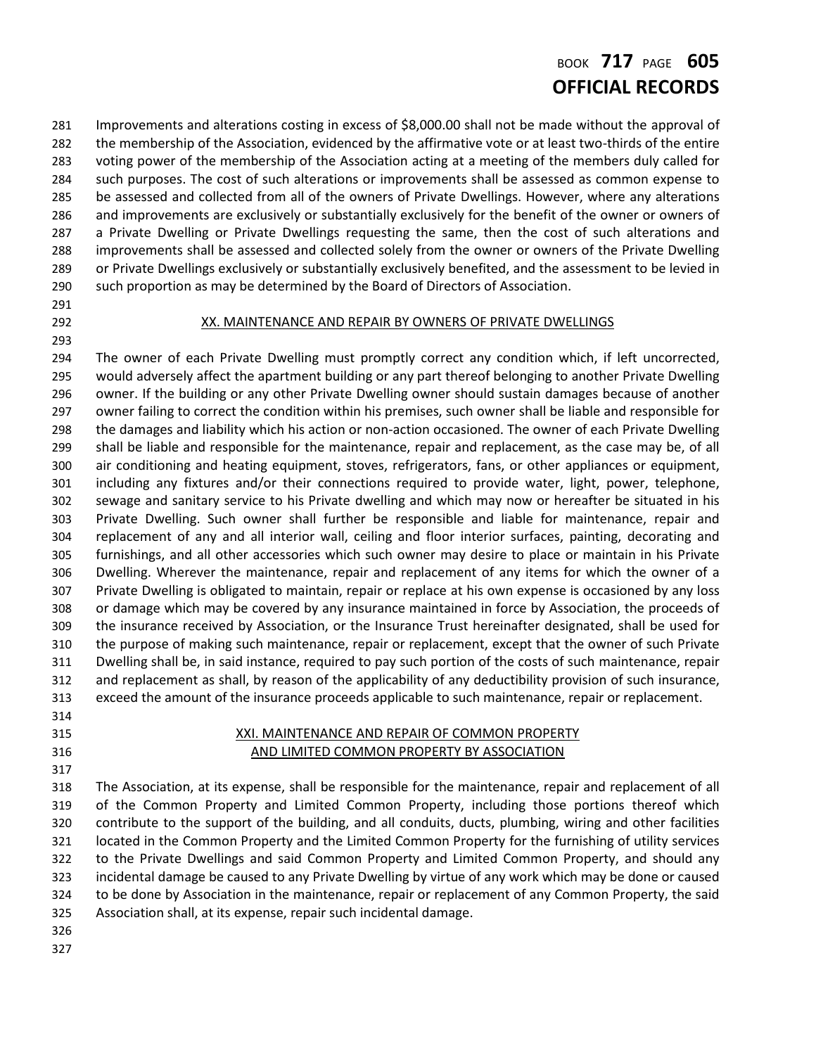# BOOK **717** PAGE **605 OFFICIAL RECORDS**

 Improvements and alterations costing in excess of \$8,000.00 shall not be made without the approval of the membership of the Association, evidenced by the affirmative vote or at least two-thirds of the entire voting power of the membership of the Association acting at a meeting of the members duly called for such purposes. The cost of such alterations or improvements shall be assessed as common expense to 285 be assessed and collected from all of the owners of Private Dwellings. However, where any alterations and improvements are exclusively or substantially exclusively for the benefit of the owner or owners of a Private Dwelling or Private Dwellings requesting the same, then the cost of such alterations and improvements shall be assessed and collected solely from the owner or owners of the Private Dwelling or Private Dwellings exclusively or substantially exclusively benefited, and the assessment to be levied in such proportion as may be determined by the Board of Directors of Association.

- 
- 

#### 292 XX. MAINTENANCE AND REPAIR BY OWNERS OF PRIVATE DWELLINGS

 The owner of each Private Dwelling must promptly correct any condition which, if left uncorrected, would adversely affect the apartment building or any part thereof belonging to another Private Dwelling owner. If the building or any other Private Dwelling owner should sustain damages because of another owner failing to correct the condition within his premises, such owner shall be liable and responsible for the damages and liability which his action or non-action occasioned. The owner of each Private Dwelling shall be liable and responsible for the maintenance, repair and replacement, as the case may be, of all air conditioning and heating equipment, stoves, refrigerators, fans, or other appliances or equipment, including any fixtures and/or their connections required to provide water, light, power, telephone, sewage and sanitary service to his Private dwelling and which may now or hereafter be situated in his Private Dwelling. Such owner shall further be responsible and liable for maintenance, repair and replacement of any and all interior wall, ceiling and floor interior surfaces, painting, decorating and furnishings, and all other accessories which such owner may desire to place or maintain in his Private Dwelling. Wherever the maintenance, repair and replacement of any items for which the owner of a Private Dwelling is obligated to maintain, repair or replace at his own expense is occasioned by any loss or damage which may be covered by any insurance maintained in force by Association, the proceeds of the insurance received by Association, or the Insurance Trust hereinafter designated, shall be used for the purpose of making such maintenance, repair or replacement, except that the owner of such Private Dwelling shall be, in said instance, required to pay such portion of the costs of such maintenance, repair and replacement as shall, by reason of the applicability of any deductibility provision of such insurance, exceed the amount of the insurance proceeds applicable to such maintenance, repair or replacement.

- 
- 

#### XXI. MAINTENANCE AND REPAIR OF COMMON PROPERTY AND LIMITED COMMON PROPERTY BY ASSOCIATION

 The Association, at its expense, shall be responsible for the maintenance, repair and replacement of all of the Common Property and Limited Common Property, including those portions thereof which contribute to the support of the building, and all conduits, ducts, plumbing, wiring and other facilities located in the Common Property and the Limited Common Property for the furnishing of utility services to the Private Dwellings and said Common Property and Limited Common Property, and should any incidental damage be caused to any Private Dwelling by virtue of any work which may be done or caused to be done by Association in the maintenance, repair or replacement of any Common Property, the said Association shall, at its expense, repair such incidental damage.

- 
-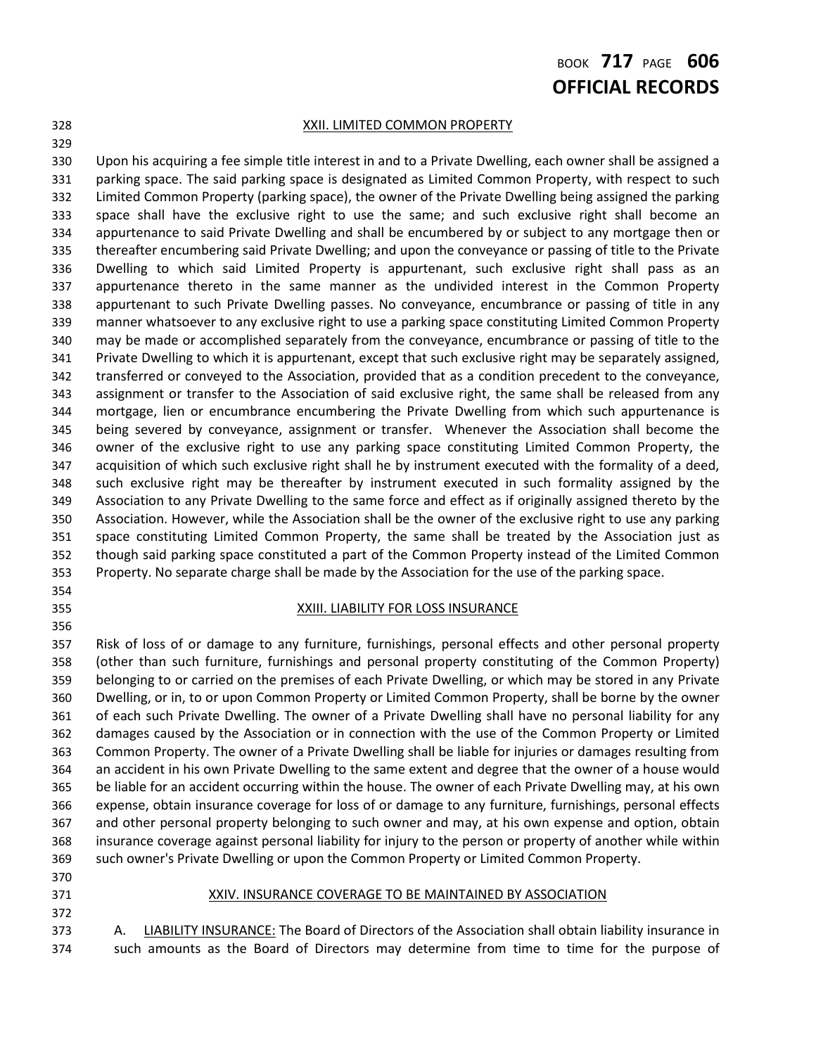# BOOK **717** PAGE **606 OFFICIAL RECORDS**

# 

#### XXII. LIMITED COMMON PROPERTY

 Upon his acquiring a fee simple title interest in and to a Private Dwelling, each owner shall be assigned a parking space. The said parking space is designated as Limited Common Property, with respect to such Limited Common Property (parking space), the owner of the Private Dwelling being assigned the parking space shall have the exclusive right to use the same; and such exclusive right shall become an appurtenance to said Private Dwelling and shall be encumbered by or subject to any mortgage then or thereafter encumbering said Private Dwelling; and upon the conveyance or passing of title to the Private Dwelling to which said Limited Property is appurtenant, such exclusive right shall pass as an appurtenance thereto in the same manner as the undivided interest in the Common Property appurtenant to such Private Dwelling passes. No conveyance, encumbrance or passing of title in any manner whatsoever to any exclusive right to use a parking space constituting Limited Common Property may be made or accomplished separately from the conveyance, encumbrance or passing of title to the Private Dwelling to which it is appurtenant, except that such exclusive right may be separately assigned, transferred or conveyed to the Association, provided that as a condition precedent to the conveyance, assignment or transfer to the Association of said exclusive right, the same shall be released from any mortgage, lien or encumbrance encumbering the Private Dwelling from which such appurtenance is being severed by conveyance, assignment or transfer. Whenever the Association shall become the owner of the exclusive right to use any parking space constituting Limited Common Property, the acquisition of which such exclusive right shall he by instrument executed with the formality of a deed, such exclusive right may be thereafter by instrument executed in such formality assigned by the Association to any Private Dwelling to the same force and effect as if originally assigned thereto by the Association. However, while the Association shall be the owner of the exclusive right to use any parking space constituting Limited Common Property, the same shall be treated by the Association just as though said parking space constituted a part of the Common Property instead of the Limited Common Property. No separate charge shall be made by the Association for the use of the parking space.

- 
- 

#### XXIII. LIABILITY FOR LOSS INSURANCE

 Risk of loss of or damage to any furniture, furnishings, personal effects and other personal property (other than such furniture, furnishings and personal property constituting of the Common Property) belonging to or carried on the premises of each Private Dwelling, or which may be stored in any Private Dwelling, or in, to or upon Common Property or Limited Common Property, shall be borne by the owner of each such Private Dwelling. The owner of a Private Dwelling shall have no personal liability for any damages caused by the Association or in connection with the use of the Common Property or Limited Common Property. The owner of a Private Dwelling shall be liable for injuries or damages resulting from an accident in his own Private Dwelling to the same extent and degree that the owner of a house would be liable for an accident occurring within the house. The owner of each Private Dwelling may, at his own expense, obtain insurance coverage for loss of or damage to any furniture, furnishings, personal effects and other personal property belonging to such owner and may, at his own expense and option, obtain insurance coverage against personal liability for injury to the person or property of another while within such owner's Private Dwelling or upon the Common Property or Limited Common Property.

- 
- 

#### 371 XXIV. INSURANCE COVERAGE TO BE MAINTAINED BY ASSOCIATION

373 A. LIABILITY INSURANCE: The Board of Directors of the Association shall obtain liability insurance in such amounts as the Board of Directors may determine from time to time for the purpose of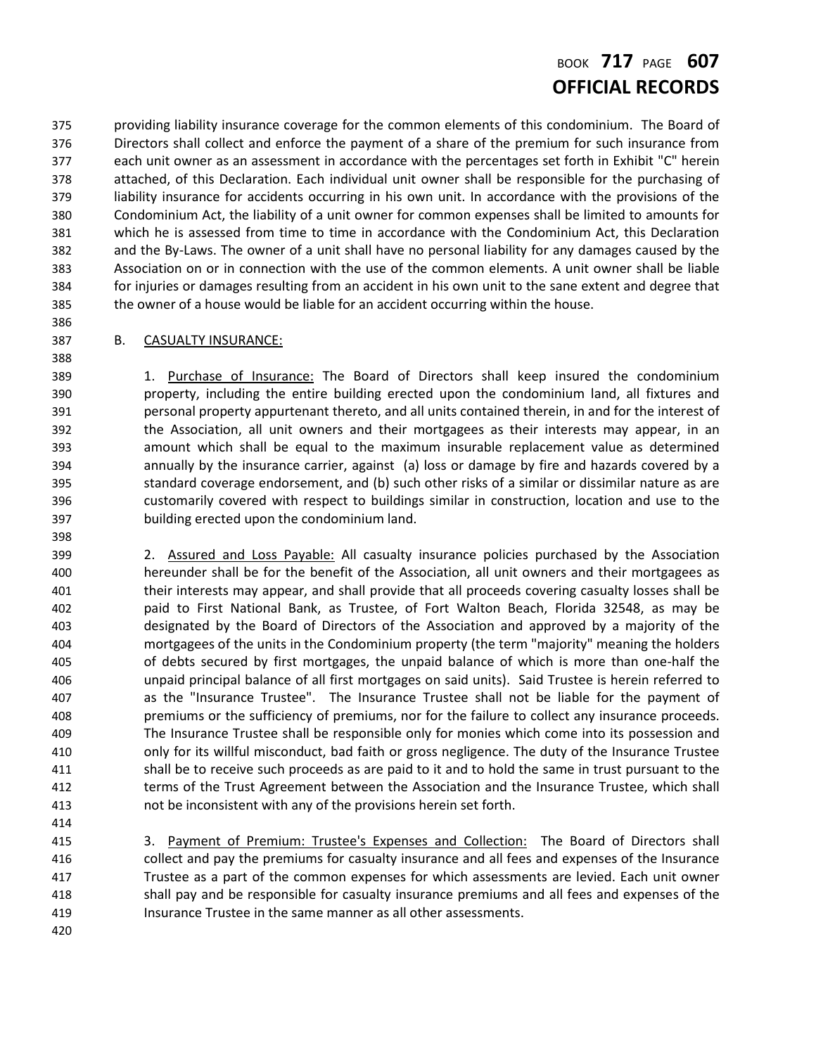# BOOK **717** PAGE **607 OFFICIAL RECORDS**

 providing liability insurance coverage for the common elements of this condominium. The Board of Directors shall collect and enforce the payment of a share of the premium for such insurance from each unit owner as an assessment in accordance with the percentages set forth in Exhibit "C" herein attached, of this Declaration. Each individual unit owner shall be responsible for the purchasing of liability insurance for accidents occurring in his own unit. In accordance with the provisions of the Condominium Act, the liability of a unit owner for common expenses shall be limited to amounts for which he is assessed from time to time in accordance with the Condominium Act, this Declaration and the By-Laws. The owner of a unit shall have no personal liability for any damages caused by the Association on or in connection with the use of the common elements. A unit owner shall be liable for injuries or damages resulting from an accident in his own unit to the sane extent and degree that the owner of a house would be liable for an accident occurring within the house.

### B. CASUALTY INSURANCE:

 1. Purchase of Insurance: The Board of Directors shall keep insured the condominium property, including the entire building erected upon the condominium land, all fixtures and personal property appurtenant thereto, and all units contained therein, in and for the interest of the Association, all unit owners and their mortgagees as their interests may appear, in an amount which shall be equal to the maximum insurable replacement value as determined annually by the insurance carrier, against (a) loss or damage by fire and hazards covered by a standard coverage endorsement, and (b) such other risks of a similar or dissimilar nature as are customarily covered with respect to buildings similar in construction, location and use to the building erected upon the condominium land.

399 2. Assured and Loss Payable: All casualty insurance policies purchased by the Association hereunder shall be for the benefit of the Association, all unit owners and their mortgagees as their interests may appear, and shall provide that all proceeds covering casualty losses shall be paid to First National Bank, as Trustee, of Fort Walton Beach, Florida 32548, as may be designated by the Board of Directors of the Association and approved by a majority of the mortgagees of the units in the Condominium property (the term "majority" meaning the holders of debts secured by first mortgages, the unpaid balance of which is more than one-half the unpaid principal balance of all first mortgages on said units). Said Trustee is herein referred to as the "Insurance Trustee". The Insurance Trustee shall not be liable for the payment of premiums or the sufficiency of premiums, nor for the failure to collect any insurance proceeds. The Insurance Trustee shall be responsible only for monies which come into its possession and only for its willful misconduct, bad faith or gross negligence. The duty of the Insurance Trustee shall be to receive such proceeds as are paid to it and to hold the same in trust pursuant to the terms of the Trust Agreement between the Association and the Insurance Trustee, which shall not be inconsistent with any of the provisions herein set forth.

 3. Payment of Premium: Trustee's Expenses and Collection: The Board of Directors shall collect and pay the premiums for casualty insurance and all fees and expenses of the Insurance Trustee as a part of the common expenses for which assessments are levied. Each unit owner shall pay and be responsible for casualty insurance premiums and all fees and expenses of the Insurance Trustee in the same manner as all other assessments.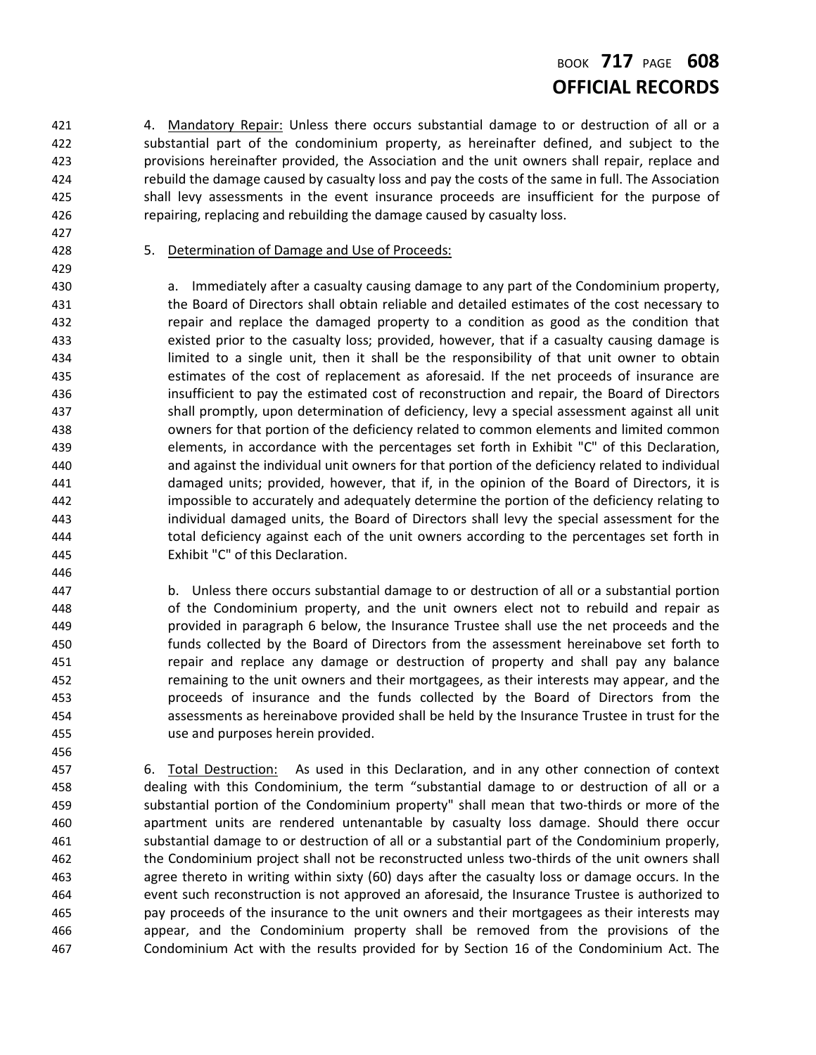### BOOK **717** PAGE **608 OFFICIAL RECORDS**

421 4. Mandatory Repair: Unless there occurs substantial damage to or destruction of all or a substantial part of the condominium property, as hereinafter defined, and subject to the provisions hereinafter provided, the Association and the unit owners shall repair, replace and rebuild the damage caused by casualty loss and pay the costs of the same in full. The Association shall levy assessments in the event insurance proceeds are insufficient for the purpose of repairing, replacing and rebuilding the damage caused by casualty loss.

### 5. Determination of Damage and Use of Proceeds:

 a. Immediately after a casualty causing damage to any part of the Condominium property, the Board of Directors shall obtain reliable and detailed estimates of the cost necessary to repair and replace the damaged property to a condition as good as the condition that existed prior to the casualty loss; provided, however, that if a casualty causing damage is limited to a single unit, then it shall be the responsibility of that unit owner to obtain estimates of the cost of replacement as aforesaid. If the net proceeds of insurance are insufficient to pay the estimated cost of reconstruction and repair, the Board of Directors shall promptly, upon determination of deficiency, levy a special assessment against all unit owners for that portion of the deficiency related to common elements and limited common elements, in accordance with the percentages set forth in Exhibit "C" of this Declaration, and against the individual unit owners for that portion of the deficiency related to individual damaged units; provided, however, that if, in the opinion of the Board of Directors, it is impossible to accurately and adequately determine the portion of the deficiency relating to individual damaged units, the Board of Directors shall levy the special assessment for the total deficiency against each of the unit owners according to the percentages set forth in Exhibit "C" of this Declaration.

 b. Unless there occurs substantial damage to or destruction of all or a substantial portion of the Condominium property, and the unit owners elect not to rebuild and repair as provided in paragraph 6 below, the Insurance Trustee shall use the net proceeds and the funds collected by the Board of Directors from the assessment hereinabove set forth to repair and replace any damage or destruction of property and shall pay any balance remaining to the unit owners and their mortgagees, as their interests may appear, and the proceeds of insurance and the funds collected by the Board of Directors from the assessments as hereinabove provided shall be held by the Insurance Trustee in trust for the use and purposes herein provided.

457 6. Total Destruction: As used in this Declaration, and in any other connection of context dealing with this Condominium, the term "substantial damage to or destruction of all or a substantial portion of the Condominium property" shall mean that two-thirds or more of the apartment units are rendered untenantable by casualty loss damage. Should there occur substantial damage to or destruction of all or a substantial part of the Condominium properly, the Condominium project shall not be reconstructed unless two-thirds of the unit owners shall agree thereto in writing within sixty (60) days after the casualty loss or damage occurs. In the event such reconstruction is not approved an aforesaid, the Insurance Trustee is authorized to pay proceeds of the insurance to the unit owners and their mortgagees as their interests may appear, and the Condominium property shall be removed from the provisions of the Condominium Act with the results provided for by Section 16 of the Condominium Act. The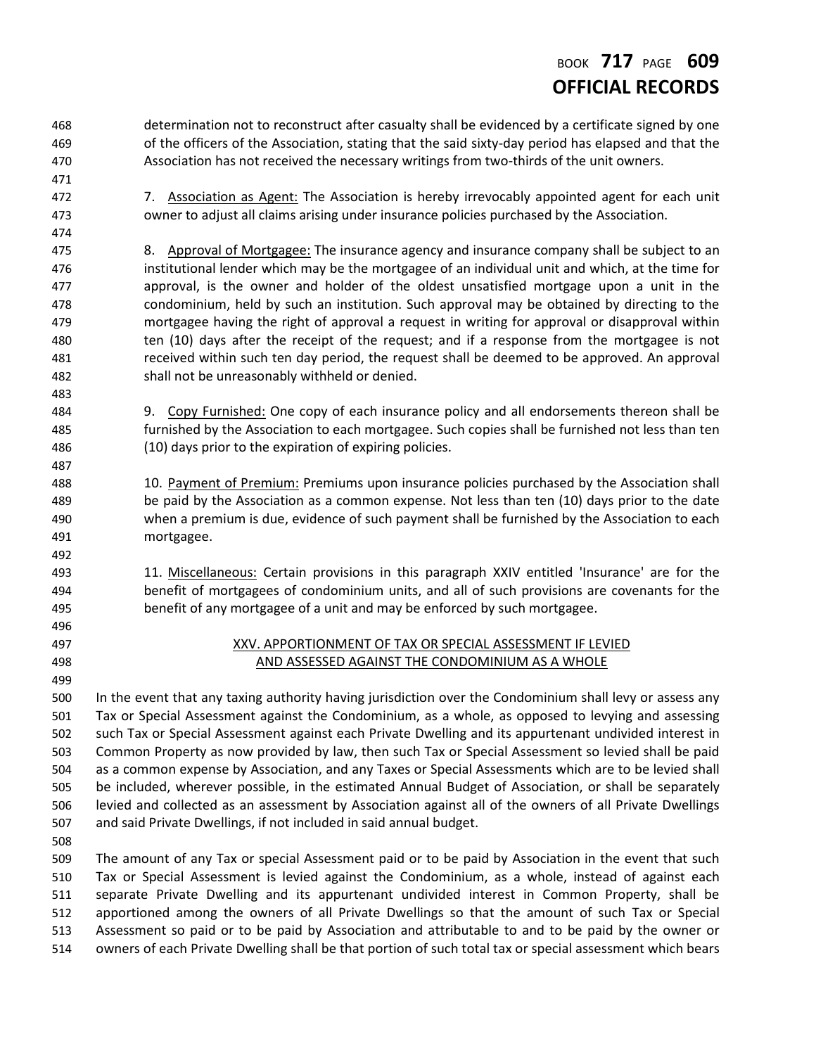# BOOK **717** PAGE **609 OFFICIAL RECORDS**

 determination not to reconstruct after casualty shall be evidenced by a certificate signed by one of the officers of the Association, stating that the said sixty-day period has elapsed and that the Association has not received the necessary writings from two-thirds of the unit owners.

- 
- 

472 7. Association as Agent: The Association is hereby irrevocably appointed agent for each unit owner to adjust all claims arising under insurance policies purchased by the Association.

 8. Approval of Mortgagee: The insurance agency and insurance company shall be subject to an institutional lender which may be the mortgagee of an individual unit and which, at the time for approval, is the owner and holder of the oldest unsatisfied mortgage upon a unit in the condominium, held by such an institution. Such approval may be obtained by directing to the mortgagee having the right of approval a request in writing for approval or disapproval within ten (10) days after the receipt of the request; and if a response from the mortgagee is not received within such ten day period, the request shall be deemed to be approved. An approval shall not be unreasonably withheld or denied.

 9. Copy Furnished: One copy of each insurance policy and all endorsements thereon shall be furnished by the Association to each mortgagee. Such copies shall be furnished not less than ten (10) days prior to the expiration of expiring policies.

 10. Payment of Premium: Premiums upon insurance policies purchased by the Association shall be paid by the Association as a common expense. Not less than ten (10) days prior to the date when a premium is due, evidence of such payment shall be furnished by the Association to each mortgagee.

 11. Miscellaneous: Certain provisions in this paragraph XXIV entitled 'Insurance' are for the benefit of mortgagees of condominium units, and all of such provisions are covenants for the benefit of any mortgagee of a unit and may be enforced by such mortgagee.

 XXV. APPORTIONMENT OF TAX OR SPECIAL ASSESSMENT IF LEVIED AND ASSESSED AGAINST THE CONDOMINIUM AS A WHOLE

 In the event that any taxing authority having jurisdiction over the Condominium shall levy or assess any Tax or Special Assessment against the Condominium, as a whole, as opposed to levying and assessing such Tax or Special Assessment against each Private Dwelling and its appurtenant undivided interest in Common Property as now provided by law, then such Tax or Special Assessment so levied shall be paid as a common expense by Association, and any Taxes or Special Assessments which are to be levied shall be included, wherever possible, in the estimated Annual Budget of Association, or shall be separately levied and collected as an assessment by Association against all of the owners of all Private Dwellings and said Private Dwellings, if not included in said annual budget.

 The amount of any Tax or special Assessment paid or to be paid by Association in the event that such Tax or Special Assessment is levied against the Condominium, as a whole, instead of against each separate Private Dwelling and its appurtenant undivided interest in Common Property, shall be apportioned among the owners of all Private Dwellings so that the amount of such Tax or Special Assessment so paid or to be paid by Association and attributable to and to be paid by the owner or owners of each Private Dwelling shall be that portion of such total tax or special assessment which bears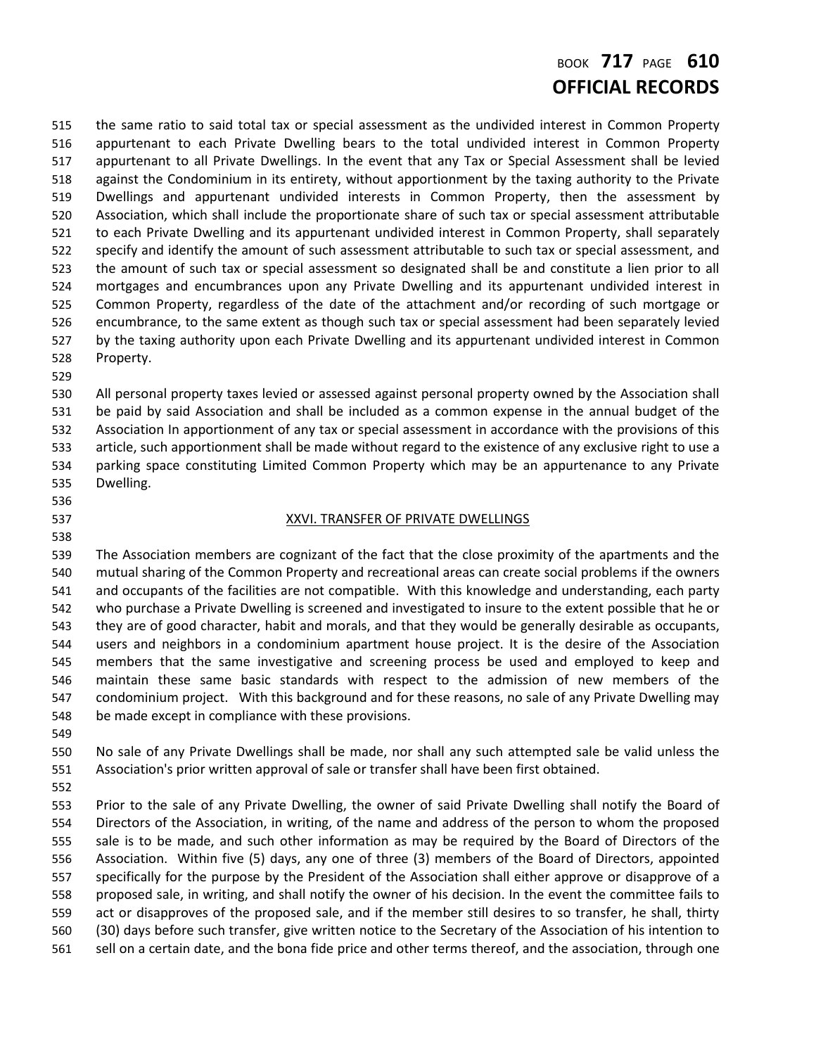### BOOK **717** PAGE **610 OFFICIAL RECORDS**

 the same ratio to said total tax or special assessment as the undivided interest in Common Property appurtenant to each Private Dwelling bears to the total undivided interest in Common Property appurtenant to all Private Dwellings. In the event that any Tax or Special Assessment shall be levied against the Condominium in its entirety, without apportionment by the taxing authority to the Private Dwellings and appurtenant undivided interests in Common Property, then the assessment by Association, which shall include the proportionate share of such tax or special assessment attributable to each Private Dwelling and its appurtenant undivided interest in Common Property, shall separately specify and identify the amount of such assessment attributable to such tax or special assessment, and the amount of such tax or special assessment so designated shall be and constitute a lien prior to all mortgages and encumbrances upon any Private Dwelling and its appurtenant undivided interest in Common Property, regardless of the date of the attachment and/or recording of such mortgage or encumbrance, to the same extent as though such tax or special assessment had been separately levied by the taxing authority upon each Private Dwelling and its appurtenant undivided interest in Common Property.

 All personal property taxes levied or assessed against personal property owned by the Association shall be paid by said Association and shall be included as a common expense in the annual budget of the Association In apportionment of any tax or special assessment in accordance with the provisions of this article, such apportionment shall be made without regard to the existence of any exclusive right to use a parking space constituting Limited Common Property which may be an appurtenance to any Private Dwelling.

- 
- 

#### XXVI. TRANSFER OF PRIVATE DWELLINGS

 The Association members are cognizant of the fact that the close proximity of the apartments and the mutual sharing of the Common Property and recreational areas can create social problems if the owners and occupants of the facilities are not compatible. With this knowledge and understanding, each party who purchase a Private Dwelling is screened and investigated to insure to the extent possible that he or they are of good character, habit and morals, and that they would be generally desirable as occupants, users and neighbors in a condominium apartment house project. It is the desire of the Association members that the same investigative and screening process be used and employed to keep and maintain these same basic standards with respect to the admission of new members of the condominium project. With this background and for these reasons, no sale of any Private Dwelling may be made except in compliance with these provisions.

 No sale of any Private Dwellings shall be made, nor shall any such attempted sale be valid unless the Association's prior written approval of sale or transfer shall have been first obtained.

 Prior to the sale of any Private Dwelling, the owner of said Private Dwelling shall notify the Board of Directors of the Association, in writing, of the name and address of the person to whom the proposed sale is to be made, and such other information as may be required by the Board of Directors of the Association. Within five (5) days, any one of three (3) members of the Board of Directors, appointed specifically for the purpose by the President of the Association shall either approve or disapprove of a proposed sale, in writing, and shall notify the owner of his decision. In the event the committee fails to act or disapproves of the proposed sale, and if the member still desires to so transfer, he shall, thirty (30) days before such transfer, give written notice to the Secretary of the Association of his intention to sell on a certain date, and the bona fide price and other terms thereof, and the association, through one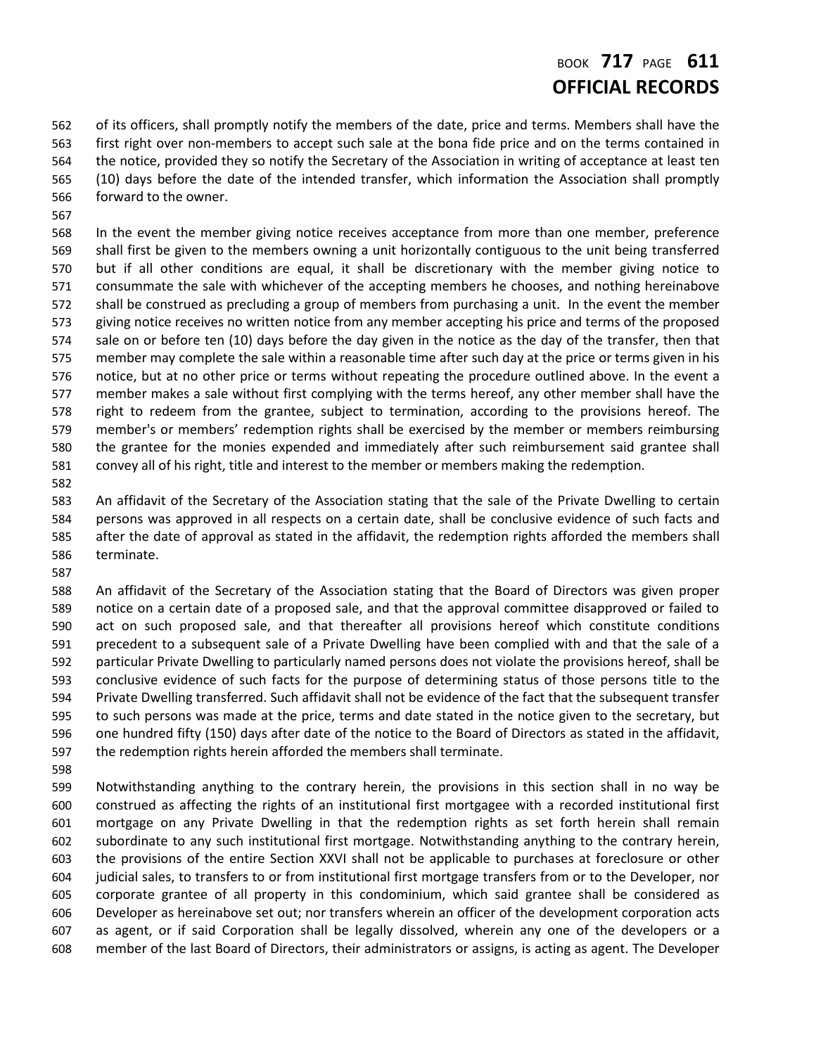# BOOK **717** PAGE **611 OFFICIAL RECORDS**

 of its officers, shall promptly notify the members of the date, price and terms. Members shall have the first right over non-members to accept such sale at the bona fide price and on the terms contained in the notice, provided they so notify the Secretary of the Association in writing of acceptance at least ten (10) days before the date of the intended transfer, which information the Association shall promptly forward to the owner.

 In the event the member giving notice receives acceptance from more than one member, preference shall first be given to the members owning a unit horizontally contiguous to the unit being transferred but if all other conditions are equal, it shall be discretionary with the member giving notice to consummate the sale with whichever of the accepting members he chooses, and nothing hereinabove shall be construed as precluding a group of members from purchasing a unit. In the event the member giving notice receives no written notice from any member accepting his price and terms of the proposed sale on or before ten (10) days before the day given in the notice as the day of the transfer, then that member may complete the sale within a reasonable time after such day at the price or terms given in his notice, but at no other price or terms without repeating the procedure outlined above. In the event a member makes a sale without first complying with the terms hereof, any other member shall have the right to redeem from the grantee, subject to termination, according to the provisions hereof. The member's or members' redemption rights shall be exercised by the member or members reimbursing the grantee for the monies expended and immediately after such reimbursement said grantee shall convey all of his right, title and interest to the member or members making the redemption.

 An affidavit of the Secretary of the Association stating that the sale of the Private Dwelling to certain persons was approved in all respects on a certain date, shall be conclusive evidence of such facts and after the date of approval as stated in the affidavit, the redemption rights afforded the members shall terminate.

 An affidavit of the Secretary of the Association stating that the Board of Directors was given proper notice on a certain date of a proposed sale, and that the approval committee disapproved or failed to act on such proposed sale, and that thereafter all provisions hereof which constitute conditions precedent to a subsequent sale of a Private Dwelling have been complied with and that the sale of a particular Private Dwelling to particularly named persons does not violate the provisions hereof, shall be conclusive evidence of such facts for the purpose of determining status of those persons title to the Private Dwelling transferred. Such affidavit shall not be evidence of the fact that the subsequent transfer to such persons was made at the price, terms and date stated in the notice given to the secretary, but one hundred fifty (150) days after date of the notice to the Board of Directors as stated in the affidavit, the redemption rights herein afforded the members shall terminate.

 Notwithstanding anything to the contrary herein, the provisions in this section shall in no way be construed as affecting the rights of an institutional first mortgagee with a recorded institutional first mortgage on any Private Dwelling in that the redemption rights as set forth herein shall remain subordinate to any such institutional first mortgage. Notwithstanding anything to the contrary herein, the provisions of the entire Section XXVI shall not be applicable to purchases at foreclosure or other judicial sales, to transfers to or from institutional first mortgage transfers from or to the Developer, nor corporate grantee of all property in this condominium, which said grantee shall be considered as Developer as hereinabove set out; nor transfers wherein an officer of the development corporation acts as agent, or if said Corporation shall be legally dissolved, wherein any one of the developers or a member of the last Board of Directors, their administrators or assigns, is acting as agent. The Developer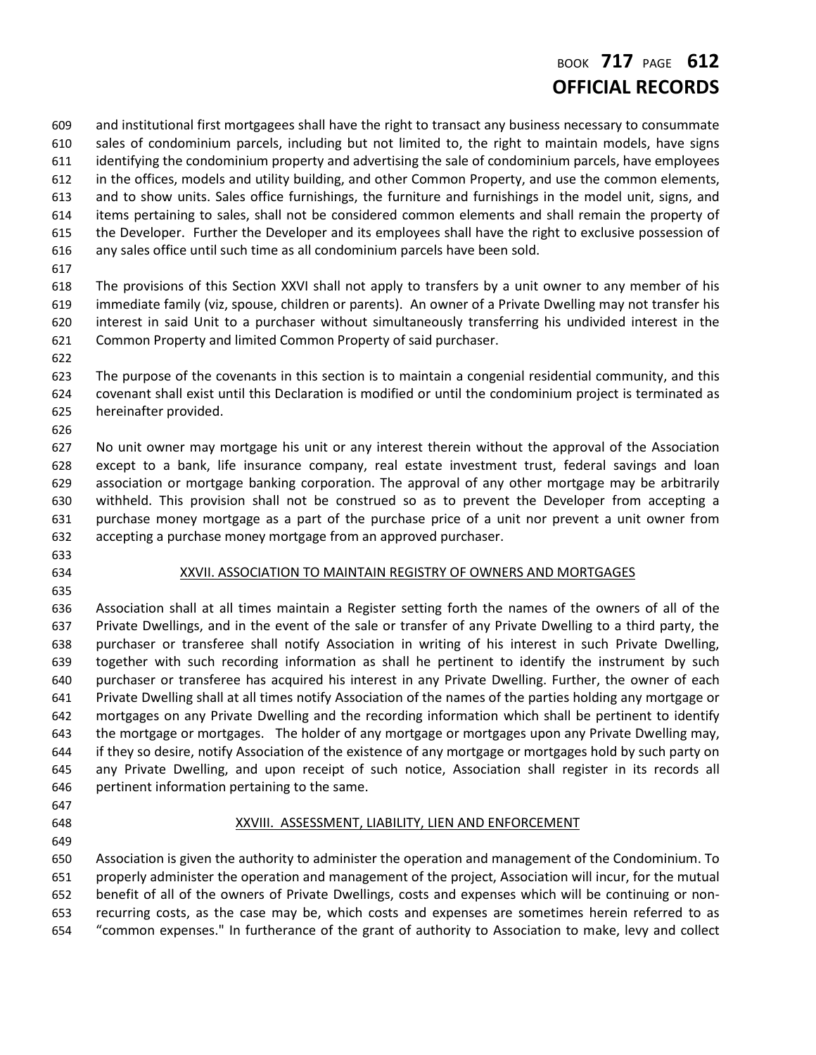# BOOK **717** PAGE **612 OFFICIAL RECORDS**

 and institutional first mortgagees shall have the right to transact any business necessary to consummate sales of condominium parcels, including but not limited to, the right to maintain models, have signs identifying the condominium property and advertising the sale of condominium parcels, have employees in the offices, models and utility building, and other Common Property, and use the common elements, and to show units. Sales office furnishings, the furniture and furnishings in the model unit, signs, and items pertaining to sales, shall not be considered common elements and shall remain the property of the Developer. Further the Developer and its employees shall have the right to exclusive possession of any sales office until such time as all condominium parcels have been sold.

 The provisions of this Section XXVI shall not apply to transfers by a unit owner to any member of his immediate family (viz, spouse, children or parents). An owner of a Private Dwelling may not transfer his interest in said Unit to a purchaser without simultaneously transferring his undivided interest in the Common Property and limited Common Property of said purchaser.

 The purpose of the covenants in this section is to maintain a congenial residential community, and this covenant shall exist until this Declaration is modified or until the condominium project is terminated as hereinafter provided.

 No unit owner may mortgage his unit or any interest therein without the approval of the Association except to a bank, life insurance company, real estate investment trust, federal savings and loan association or mortgage banking corporation. The approval of any other mortgage may be arbitrarily withheld. This provision shall not be construed so as to prevent the Developer from accepting a purchase money mortgage as a part of the purchase price of a unit nor prevent a unit owner from accepting a purchase money mortgage from an approved purchaser.

- 
- 

### XXVII. ASSOCIATION TO MAINTAIN REGISTRY OF OWNERS AND MORTGAGES

 Association shall at all times maintain a Register setting forth the names of the owners of all of the Private Dwellings, and in the event of the sale or transfer of any Private Dwelling to a third party, the purchaser or transferee shall notify Association in writing of his interest in such Private Dwelling, together with such recording information as shall he pertinent to identify the instrument by such purchaser or transferee has acquired his interest in any Private Dwelling. Further, the owner of each Private Dwelling shall at all times notify Association of the names of the parties holding any mortgage or mortgages on any Private Dwelling and the recording information which shall be pertinent to identify the mortgage or mortgages. The holder of any mortgage or mortgages upon any Private Dwelling may, if they so desire, notify Association of the existence of any mortgage or mortgages hold by such party on any Private Dwelling, and upon receipt of such notice, Association shall register in its records all pertinent information pertaining to the same.

- 
- 

#### XXVIII. ASSESSMENT, LIABILITY, LIEN AND ENFORCEMENT

 Association is given the authority to administer the operation and management of the Condominium. To properly administer the operation and management of the project, Association will incur, for the mutual benefit of all of the owners of Private Dwellings, costs and expenses which will be continuing or non- recurring costs, as the case may be, which costs and expenses are sometimes herein referred to as "common expenses." In furtherance of the grant of authority to Association to make, levy and collect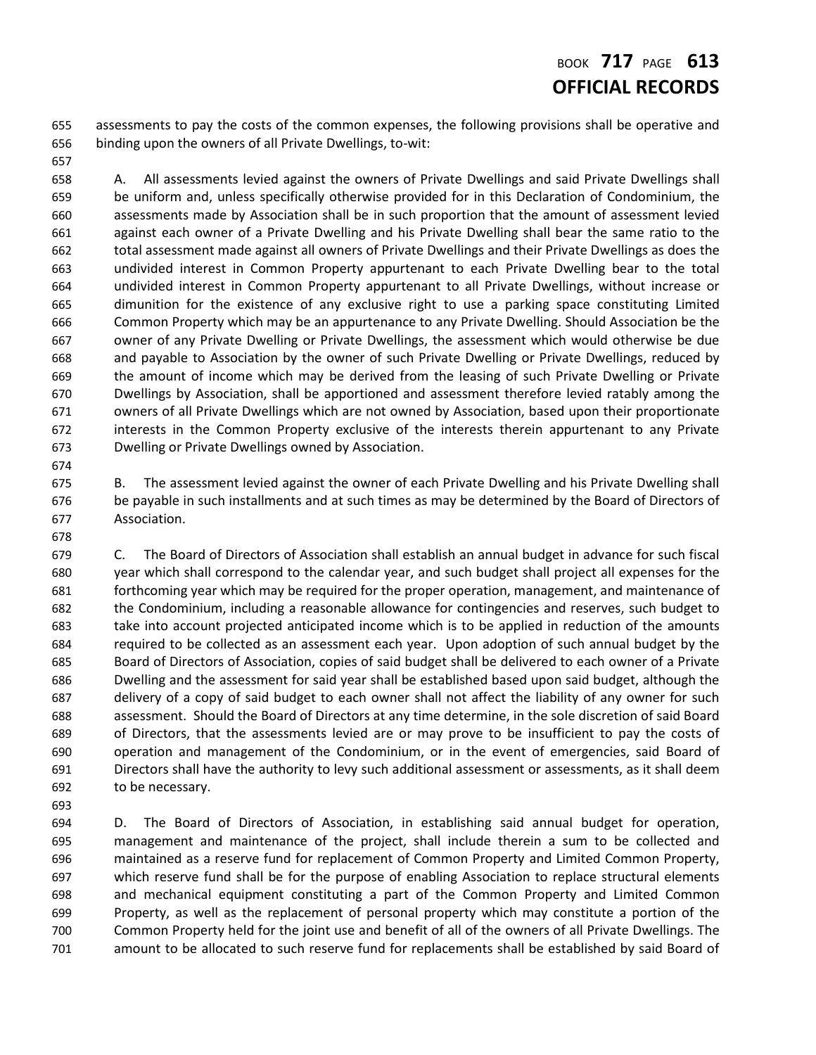# BOOK **717** PAGE **613 OFFICIAL RECORDS**

 assessments to pay the costs of the common expenses, the following provisions shall be operative and binding upon the owners of all Private Dwellings, to-wit:

 A. All assessments levied against the owners of Private Dwellings and said Private Dwellings shall be uniform and, unless specifically otherwise provided for in this Declaration of Condominium, the assessments made by Association shall be in such proportion that the amount of assessment levied against each owner of a Private Dwelling and his Private Dwelling shall bear the same ratio to the total assessment made against all owners of Private Dwellings and their Private Dwellings as does the undivided interest in Common Property appurtenant to each Private Dwelling bear to the total undivided interest in Common Property appurtenant to all Private Dwellings, without increase or dimunition for the existence of any exclusive right to use a parking space constituting Limited Common Property which may be an appurtenance to any Private Dwelling. Should Association be the owner of any Private Dwelling or Private Dwellings, the assessment which would otherwise be due and payable to Association by the owner of such Private Dwelling or Private Dwellings, reduced by the amount of income which may be derived from the leasing of such Private Dwelling or Private Dwellings by Association, shall be apportioned and assessment therefore levied ratably among the owners of all Private Dwellings which are not owned by Association, based upon their proportionate interests in the Common Property exclusive of the interests therein appurtenant to any Private Dwelling or Private Dwellings owned by Association.

 B. The assessment levied against the owner of each Private Dwelling and his Private Dwelling shall be payable in such installments and at such times as may be determined by the Board of Directors of Association.

 C. The Board of Directors of Association shall establish an annual budget in advance for such fiscal year which shall correspond to the calendar year, and such budget shall project all expenses for the forthcoming year which may be required for the proper operation, management, and maintenance of the Condominium, including a reasonable allowance for contingencies and reserves, such budget to take into account projected anticipated income which is to be applied in reduction of the amounts required to be collected as an assessment each year. Upon adoption of such annual budget by the Board of Directors of Association, copies of said budget shall be delivered to each owner of a Private Dwelling and the assessment for said year shall be established based upon said budget, although the delivery of a copy of said budget to each owner shall not affect the liability of any owner for such assessment. Should the Board of Directors at any time determine, in the sole discretion of said Board of Directors, that the assessments levied are or may prove to be insufficient to pay the costs of operation and management of the Condominium, or in the event of emergencies, said Board of Directors shall have the authority to levy such additional assessment or assessments, as it shall deem to be necessary.

 D. The Board of Directors of Association, in establishing said annual budget for operation, management and maintenance of the project, shall include therein a sum to be collected and maintained as a reserve fund for replacement of Common Property and Limited Common Property, which reserve fund shall be for the purpose of enabling Association to replace structural elements and mechanical equipment constituting a part of the Common Property and Limited Common Property, as well as the replacement of personal property which may constitute a portion of the Common Property held for the joint use and benefit of all of the owners of all Private Dwellings. The amount to be allocated to such reserve fund for replacements shall be established by said Board of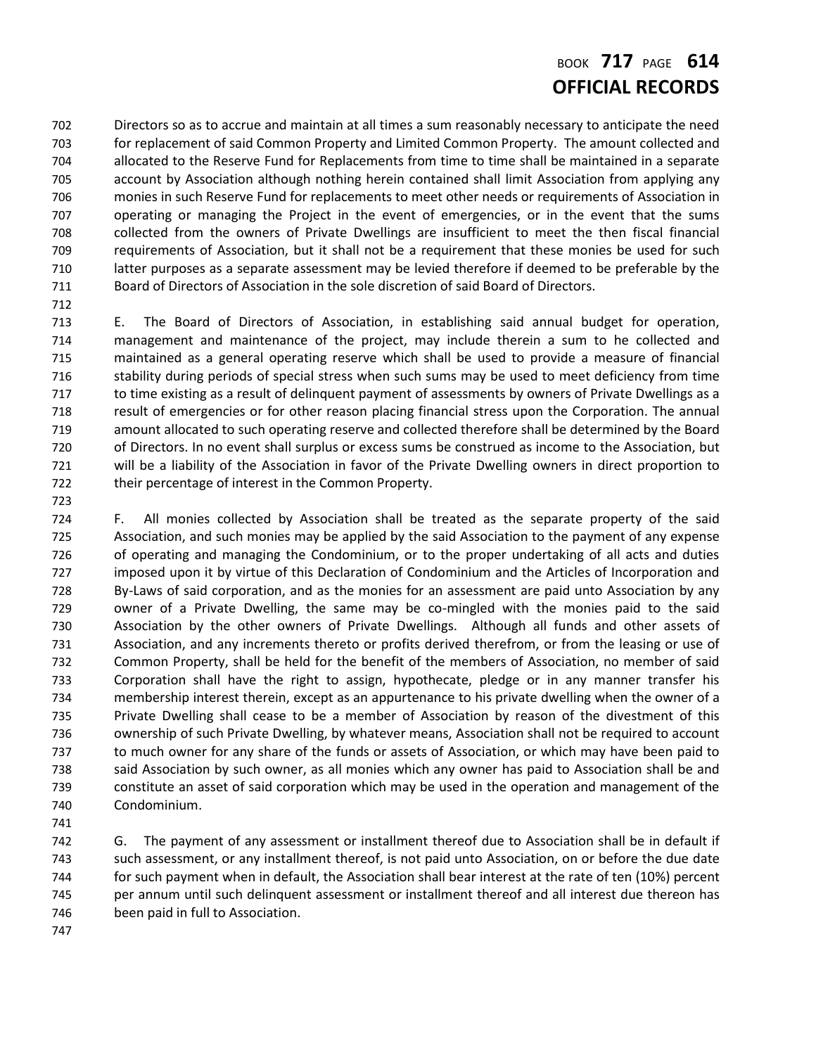# BOOK **717** PAGE **614 OFFICIAL RECORDS**

 Directors so as to accrue and maintain at all times a sum reasonably necessary to anticipate the need for replacement of said Common Property and Limited Common Property. The amount collected and allocated to the Reserve Fund for Replacements from time to time shall be maintained in a separate account by Association although nothing herein contained shall limit Association from applying any monies in such Reserve Fund for replacements to meet other needs or requirements of Association in operating or managing the Project in the event of emergencies, or in the event that the sums collected from the owners of Private Dwellings are insufficient to meet the then fiscal financial requirements of Association, but it shall not be a requirement that these monies be used for such latter purposes as a separate assessment may be levied therefore if deemed to be preferable by the Board of Directors of Association in the sole discretion of said Board of Directors.

 E. The Board of Directors of Association, in establishing said annual budget for operation, management and maintenance of the project, may include therein a sum to he collected and maintained as a general operating reserve which shall be used to provide a measure of financial stability during periods of special stress when such sums may be used to meet deficiency from time to time existing as a result of delinquent payment of assessments by owners of Private Dwellings as a result of emergencies or for other reason placing financial stress upon the Corporation. The annual amount allocated to such operating reserve and collected therefore shall be determined by the Board of Directors. In no event shall surplus or excess sums be construed as income to the Association, but will be a liability of the Association in favor of the Private Dwelling owners in direct proportion to their percentage of interest in the Common Property.

 F. All monies collected by Association shall be treated as the separate property of the said Association, and such monies may be applied by the said Association to the payment of any expense of operating and managing the Condominium, or to the proper undertaking of all acts and duties imposed upon it by virtue of this Declaration of Condominium and the Articles of Incorporation and By-Laws of said corporation, and as the monies for an assessment are paid unto Association by any owner of a Private Dwelling, the same may be co-mingled with the monies paid to the said Association by the other owners of Private Dwellings. Although all funds and other assets of Association, and any increments thereto or profits derived therefrom, or from the leasing or use of Common Property, shall be held for the benefit of the members of Association, no member of said Corporation shall have the right to assign, hypothecate, pledge or in any manner transfer his membership interest therein, except as an appurtenance to his private dwelling when the owner of a Private Dwelling shall cease to be a member of Association by reason of the divestment of this ownership of such Private Dwelling, by whatever means, Association shall not be required to account to much owner for any share of the funds or assets of Association, or which may have been paid to said Association by such owner, as all monies which any owner has paid to Association shall be and constitute an asset of said corporation which may be used in the operation and management of the Condominium.

 G. The payment of any assessment or installment thereof due to Association shall be in default if such assessment, or any installment thereof, is not paid unto Association, on or before the due date for such payment when in default, the Association shall bear interest at the rate of ten (10%) percent per annum until such delinquent assessment or installment thereof and all interest due thereon has been paid in full to Association.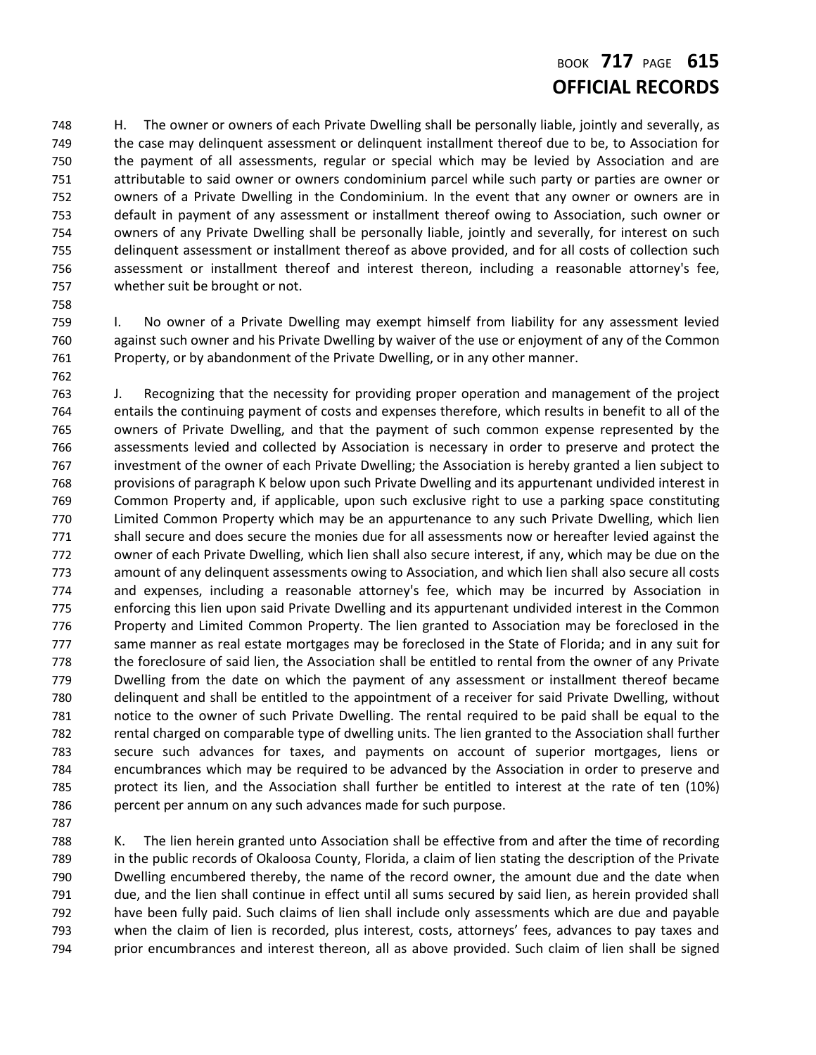# BOOK **717** PAGE **615 OFFICIAL RECORDS**

 H. The owner or owners of each Private Dwelling shall be personally liable, jointly and severally, as the case may delinquent assessment or delinquent installment thereof due to be, to Association for the payment of all assessments, regular or special which may be levied by Association and are attributable to said owner or owners condominium parcel while such party or parties are owner or owners of a Private Dwelling in the Condominium. In the event that any owner or owners are in default in payment of any assessment or installment thereof owing to Association, such owner or owners of any Private Dwelling shall be personally liable, jointly and severally, for interest on such delinquent assessment or installment thereof as above provided, and for all costs of collection such assessment or installment thereof and interest thereon, including a reasonable attorney's fee, whether suit be brought or not.

 I. No owner of a Private Dwelling may exempt himself from liability for any assessment levied against such owner and his Private Dwelling by waiver of the use or enjoyment of any of the Common Property, or by abandonment of the Private Dwelling, or in any other manner.

 J. Recognizing that the necessity for providing proper operation and management of the project entails the continuing payment of costs and expenses therefore, which results in benefit to all of the owners of Private Dwelling, and that the payment of such common expense represented by the assessments levied and collected by Association is necessary in order to preserve and protect the investment of the owner of each Private Dwelling; the Association is hereby granted a lien subject to provisions of paragraph K below upon such Private Dwelling and its appurtenant undivided interest in Common Property and, if applicable, upon such exclusive right to use a parking space constituting Limited Common Property which may be an appurtenance to any such Private Dwelling, which lien shall secure and does secure the monies due for all assessments now or hereafter levied against the owner of each Private Dwelling, which lien shall also secure interest, if any, which may be due on the amount of any delinquent assessments owing to Association, and which lien shall also secure all costs and expenses, including a reasonable attorney's fee, which may be incurred by Association in enforcing this lien upon said Private Dwelling and its appurtenant undivided interest in the Common Property and Limited Common Property. The lien granted to Association may be foreclosed in the same manner as real estate mortgages may be foreclosed in the State of Florida; and in any suit for the foreclosure of said lien, the Association shall be entitled to rental from the owner of any Private Dwelling from the date on which the payment of any assessment or installment thereof became delinquent and shall be entitled to the appointment of a receiver for said Private Dwelling, without notice to the owner of such Private Dwelling. The rental required to be paid shall be equal to the rental charged on comparable type of dwelling units. The lien granted to the Association shall further secure such advances for taxes, and payments on account of superior mortgages, liens or encumbrances which may be required to be advanced by the Association in order to preserve and protect its lien, and the Association shall further be entitled to interest at the rate of ten (10%) percent per annum on any such advances made for such purpose.

 K. The lien herein granted unto Association shall be effective from and after the time of recording in the public records of Okaloosa County, Florida, a claim of lien stating the description of the Private Dwelling encumbered thereby, the name of the record owner, the amount due and the date when due, and the lien shall continue in effect until all sums secured by said lien, as herein provided shall have been fully paid. Such claims of lien shall include only assessments which are due and payable when the claim of lien is recorded, plus interest, costs, attorneys' fees, advances to pay taxes and prior encumbrances and interest thereon, all as above provided. Such claim of lien shall be signed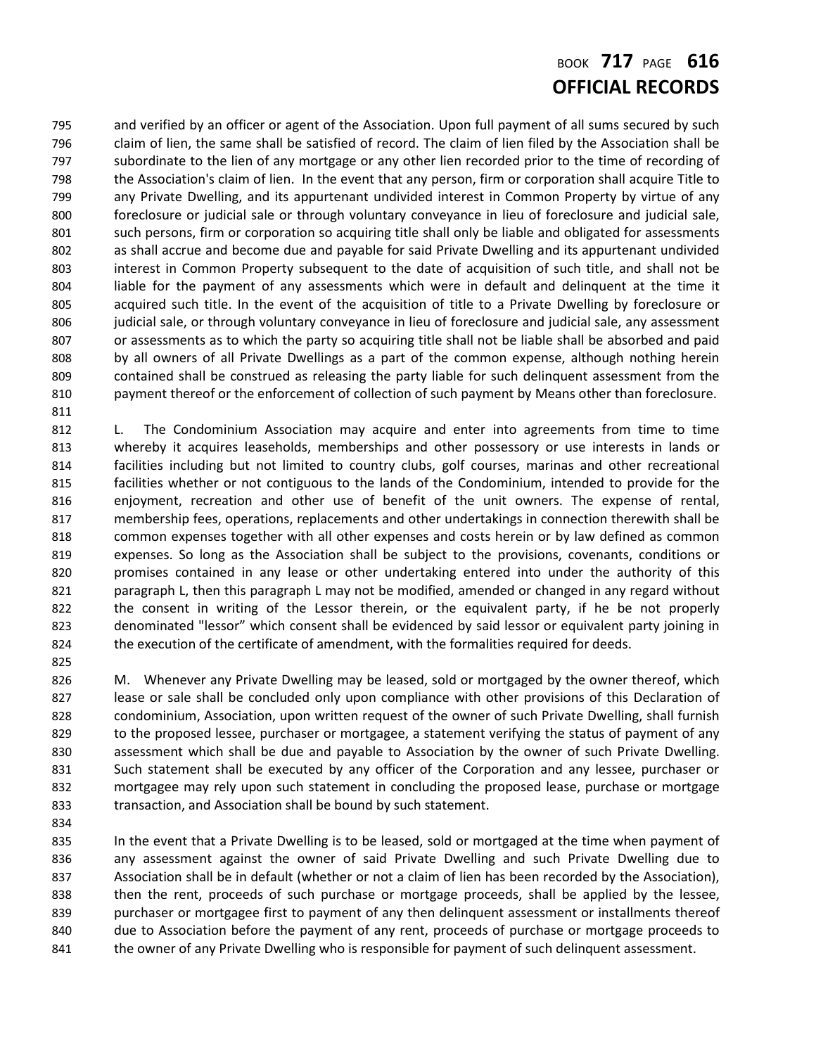### BOOK **717** PAGE **616 OFFICIAL RECORDS**

 and verified by an officer or agent of the Association. Upon full payment of all sums secured by such claim of lien, the same shall be satisfied of record. The claim of lien filed by the Association shall be subordinate to the lien of any mortgage or any other lien recorded prior to the time of recording of the Association's claim of lien. In the event that any person, firm or corporation shall acquire Title to any Private Dwelling, and its appurtenant undivided interest in Common Property by virtue of any foreclosure or judicial sale or through voluntary conveyance in lieu of foreclosure and judicial sale, such persons, firm or corporation so acquiring title shall only be liable and obligated for assessments as shall accrue and become due and payable for said Private Dwelling and its appurtenant undivided interest in Common Property subsequent to the date of acquisition of such title, and shall not be liable for the payment of any assessments which were in default and delinquent at the time it acquired such title. In the event of the acquisition of title to a Private Dwelling by foreclosure or 806 judicial sale, or through voluntary conveyance in lieu of foreclosure and judicial sale, any assessment or assessments as to which the party so acquiring title shall not be liable shall be absorbed and paid by all owners of all Private Dwellings as a part of the common expense, although nothing herein contained shall be construed as releasing the party liable for such delinquent assessment from the 810 payment thereof or the enforcement of collection of such payment by Means other than foreclosure. 

 L. The Condominium Association may acquire and enter into agreements from time to time whereby it acquires leaseholds, memberships and other possessory or use interests in lands or facilities including but not limited to country clubs, golf courses, marinas and other recreational facilities whether or not contiguous to the lands of the Condominium, intended to provide for the enjoyment, recreation and other use of benefit of the unit owners. The expense of rental, membership fees, operations, replacements and other undertakings in connection therewith shall be common expenses together with all other expenses and costs herein or by law defined as common expenses. So long as the Association shall be subject to the provisions, covenants, conditions or promises contained in any lease or other undertaking entered into under the authority of this paragraph L, then this paragraph L may not be modified, amended or changed in any regard without the consent in writing of the Lessor therein, or the equivalent party, if he be not properly denominated "lessor" which consent shall be evidenced by said lessor or equivalent party joining in the execution of the certificate of amendment, with the formalities required for deeds.

826 M. Whenever any Private Dwelling may be leased, sold or mortgaged by the owner thereof, which lease or sale shall be concluded only upon compliance with other provisions of this Declaration of condominium, Association, upon written request of the owner of such Private Dwelling, shall furnish to the proposed lessee, purchaser or mortgagee, a statement verifying the status of payment of any assessment which shall be due and payable to Association by the owner of such Private Dwelling. Such statement shall be executed by any officer of the Corporation and any lessee, purchaser or mortgagee may rely upon such statement in concluding the proposed lease, purchase or mortgage transaction, and Association shall be bound by such statement.

 In the event that a Private Dwelling is to be leased, sold or mortgaged at the time when payment of any assessment against the owner of said Private Dwelling and such Private Dwelling due to Association shall be in default (whether or not a claim of lien has been recorded by the Association), then the rent, proceeds of such purchase or mortgage proceeds, shall be applied by the lessee, purchaser or mortgagee first to payment of any then delinquent assessment or installments thereof due to Association before the payment of any rent, proceeds of purchase or mortgage proceeds to the owner of any Private Dwelling who is responsible for payment of such delinquent assessment.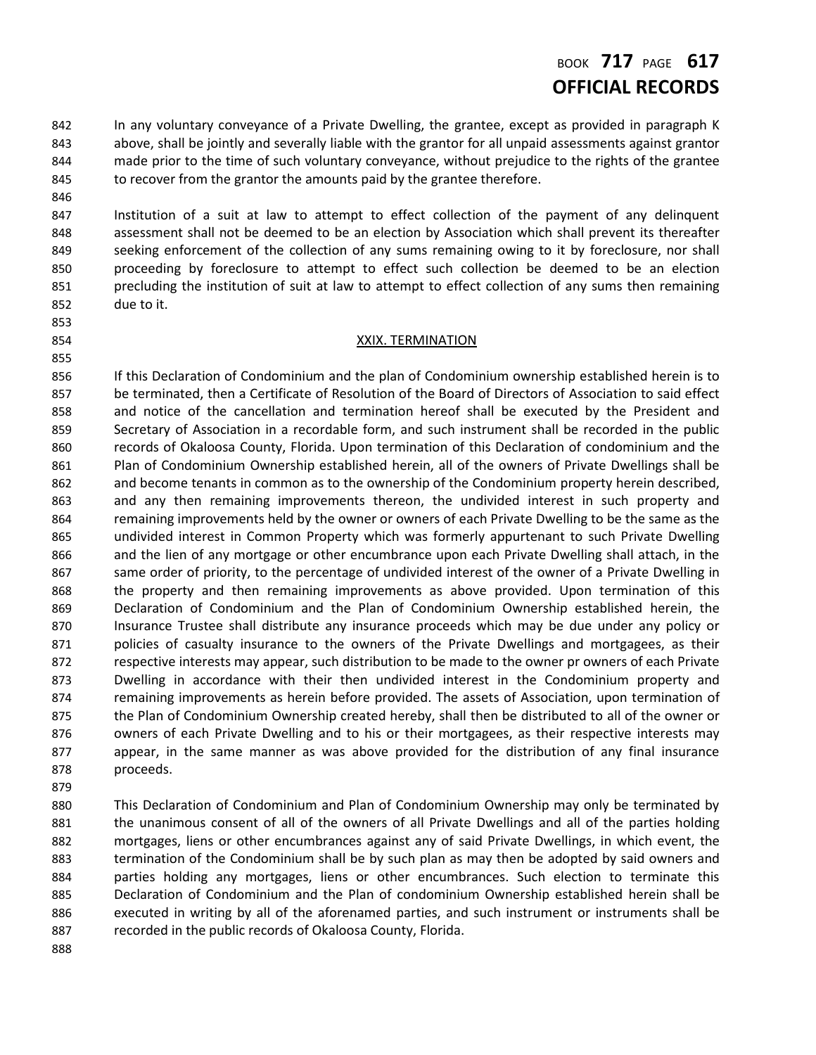### BOOK **717** PAGE **617 OFFICIAL RECORDS**

 In any voluntary conveyance of a Private Dwelling, the grantee, except as provided in paragraph K above, shall be jointly and severally liable with the grantor for all unpaid assessments against grantor made prior to the time of such voluntary conveyance, without prejudice to the rights of the grantee 845 to recover from the grantor the amounts paid by the grantee therefore.

 Institution of a suit at law to attempt to effect collection of the payment of any delinquent assessment shall not be deemed to be an election by Association which shall prevent its thereafter seeking enforcement of the collection of any sums remaining owing to it by foreclosure, nor shall proceeding by foreclosure to attempt to effect such collection be deemed to be an election precluding the institution of suit at law to attempt to effect collection of any sums then remaining due to it.

#### 854 XXIX. TERMINATION

 If this Declaration of Condominium and the plan of Condominium ownership established herein is to be terminated, then a Certificate of Resolution of the Board of Directors of Association to said effect and notice of the cancellation and termination hereof shall be executed by the President and Secretary of Association in a recordable form, and such instrument shall be recorded in the public records of Okaloosa County, Florida. Upon termination of this Declaration of condominium and the Plan of Condominium Ownership established herein, all of the owners of Private Dwellings shall be and become tenants in common as to the ownership of the Condominium property herein described, and any then remaining improvements thereon, the undivided interest in such property and remaining improvements held by the owner or owners of each Private Dwelling to be the same as the undivided interest in Common Property which was formerly appurtenant to such Private Dwelling and the lien of any mortgage or other encumbrance upon each Private Dwelling shall attach, in the 867 same order of priority, to the percentage of undivided interest of the owner of a Private Dwelling in the property and then remaining improvements as above provided. Upon termination of this Declaration of Condominium and the Plan of Condominium Ownership established herein, the Insurance Trustee shall distribute any insurance proceeds which may be due under any policy or 871 policies of casualty insurance to the owners of the Private Dwellings and mortgagees, as their respective interests may appear, such distribution to be made to the owner pr owners of each Private Dwelling in accordance with their then undivided interest in the Condominium property and remaining improvements as herein before provided. The assets of Association, upon termination of the Plan of Condominium Ownership created hereby, shall then be distributed to all of the owner or 876 owners of each Private Dwelling and to his or their mortgagees, as their respective interests may appear, in the same manner as was above provided for the distribution of any final insurance proceeds.

 This Declaration of Condominium and Plan of Condominium Ownership may only be terminated by the unanimous consent of all of the owners of all Private Dwellings and all of the parties holding mortgages, liens or other encumbrances against any of said Private Dwellings, in which event, the termination of the Condominium shall be by such plan as may then be adopted by said owners and parties holding any mortgages, liens or other encumbrances. Such election to terminate this Declaration of Condominium and the Plan of condominium Ownership established herein shall be executed in writing by all of the aforenamed parties, and such instrument or instruments shall be recorded in the public records of Okaloosa County, Florida.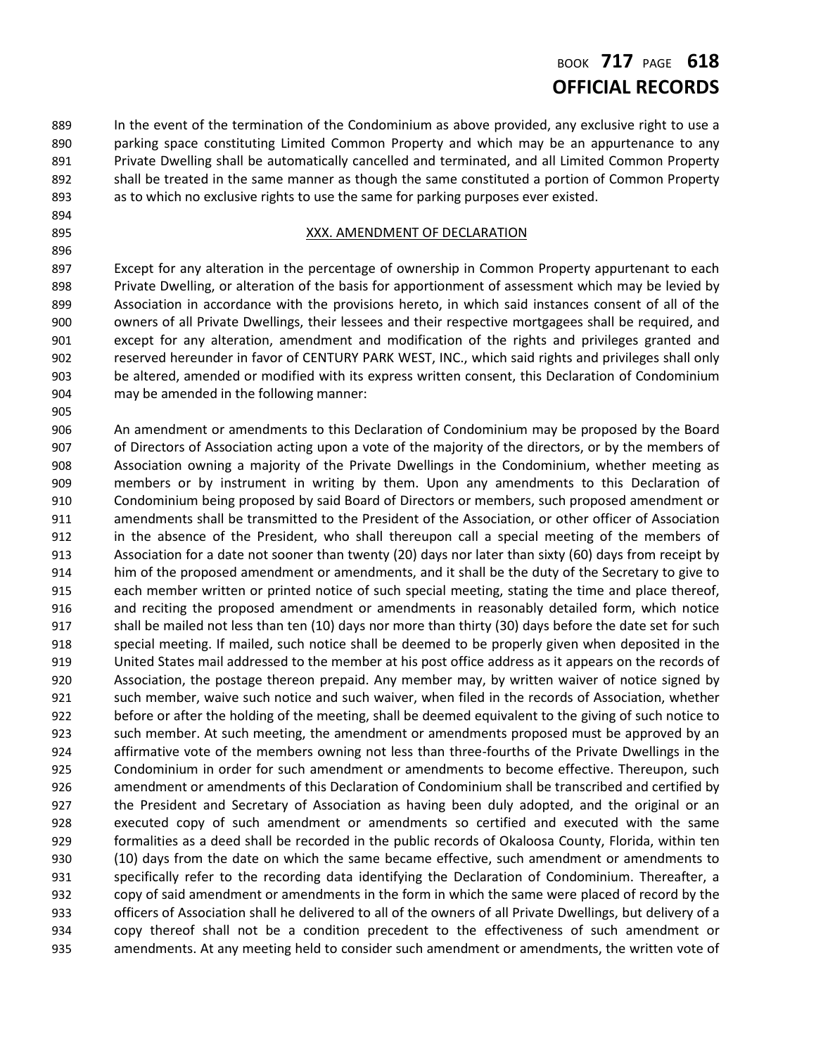### BOOK **717** PAGE **618 OFFICIAL RECORDS**

 In the event of the termination of the Condominium as above provided, any exclusive right to use a parking space constituting Limited Common Property and which may be an appurtenance to any Private Dwelling shall be automatically cancelled and terminated, and all Limited Common Property shall be treated in the same manner as though the same constituted a portion of Common Property as to which no exclusive rights to use the same for parking purposes ever existed.

#### 895 XXX. AMENDMENT OF DECLARATION

 Except for any alteration in the percentage of ownership in Common Property appurtenant to each Private Dwelling, or alteration of the basis for apportionment of assessment which may be levied by Association in accordance with the provisions hereto, in which said instances consent of all of the owners of all Private Dwellings, their lessees and their respective mortgagees shall be required, and except for any alteration, amendment and modification of the rights and privileges granted and reserved hereunder in favor of CENTURY PARK WEST, INC., which said rights and privileges shall only be altered, amended or modified with its express written consent, this Declaration of Condominium may be amended in the following manner:

 An amendment or amendments to this Declaration of Condominium may be proposed by the Board of Directors of Association acting upon a vote of the majority of the directors, or by the members of Association owning a majority of the Private Dwellings in the Condominium, whether meeting as members or by instrument in writing by them. Upon any amendments to this Declaration of Condominium being proposed by said Board of Directors or members, such proposed amendment or amendments shall be transmitted to the President of the Association, or other officer of Association in the absence of the President, who shall thereupon call a special meeting of the members of Association for a date not sooner than twenty (20) days nor later than sixty (60) days from receipt by him of the proposed amendment or amendments, and it shall be the duty of the Secretary to give to each member written or printed notice of such special meeting, stating the time and place thereof, and reciting the proposed amendment or amendments in reasonably detailed form, which notice shall be mailed not less than ten (10) days nor more than thirty (30) days before the date set for such special meeting. If mailed, such notice shall be deemed to be properly given when deposited in the United States mail addressed to the member at his post office address as it appears on the records of Association, the postage thereon prepaid. Any member may, by written waiver of notice signed by such member, waive such notice and such waiver, when filed in the records of Association, whether before or after the holding of the meeting, shall be deemed equivalent to the giving of such notice to 923 such member. At such meeting, the amendment or amendments proposed must be approved by an affirmative vote of the members owning not less than three-fourths of the Private Dwellings in the Condominium in order for such amendment or amendments to become effective. Thereupon, such amendment or amendments of this Declaration of Condominium shall be transcribed and certified by the President and Secretary of Association as having been duly adopted, and the original or an executed copy of such amendment or amendments so certified and executed with the same formalities as a deed shall be recorded in the public records of Okaloosa County, Florida, within ten (10) days from the date on which the same became effective, such amendment or amendments to specifically refer to the recording data identifying the Declaration of Condominium. Thereafter, a copy of said amendment or amendments in the form in which the same were placed of record by the officers of Association shall he delivered to all of the owners of all Private Dwellings, but delivery of a copy thereof shall not be a condition precedent to the effectiveness of such amendment or amendments. At any meeting held to consider such amendment or amendments, the written vote of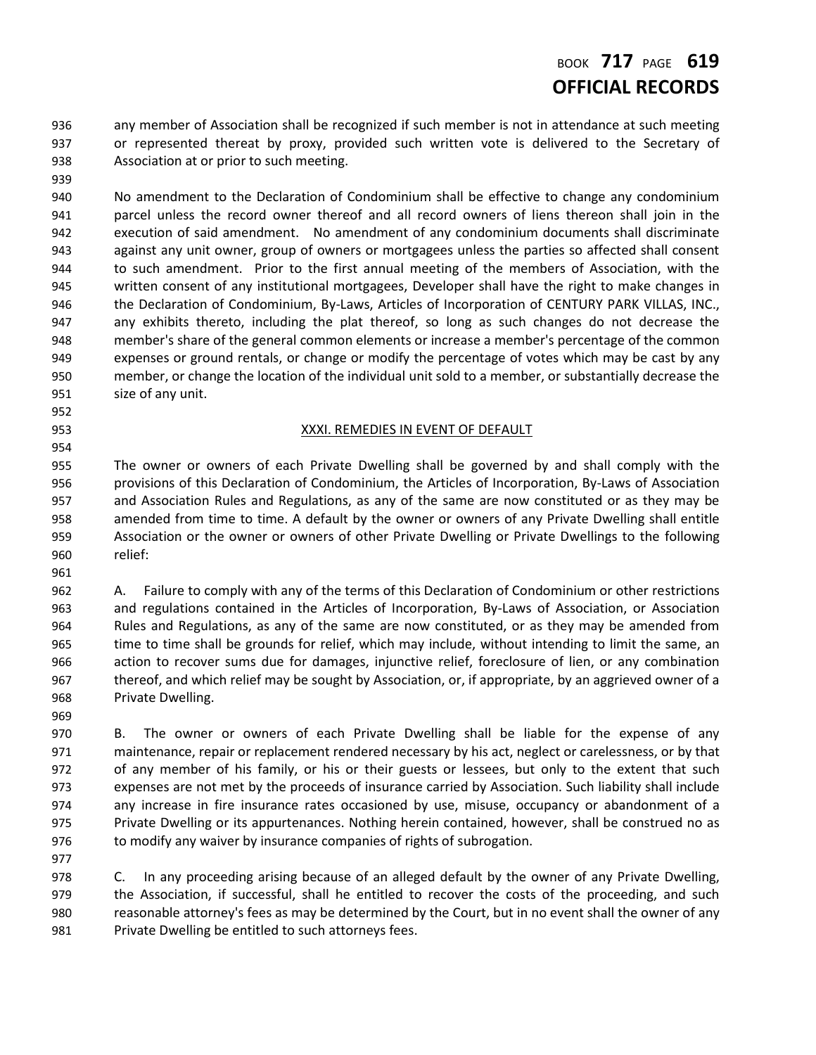# BOOK **717** PAGE **619 OFFICIAL RECORDS**

 any member of Association shall be recognized if such member is not in attendance at such meeting or represented thereat by proxy, provided such written vote is delivered to the Secretary of Association at or prior to such meeting.

 No amendment to the Declaration of Condominium shall be effective to change any condominium parcel unless the record owner thereof and all record owners of liens thereon shall join in the execution of said amendment. No amendment of any condominium documents shall discriminate against any unit owner, group of owners or mortgagees unless the parties so affected shall consent to such amendment. Prior to the first annual meeting of the members of Association, with the written consent of any institutional mortgagees, Developer shall have the right to make changes in the Declaration of Condominium, By-Laws, Articles of Incorporation of CENTURY PARK VILLAS, INC., any exhibits thereto, including the plat thereof, so long as such changes do not decrease the member's share of the general common elements or increase a member's percentage of the common expenses or ground rentals, or change or modify the percentage of votes which may be cast by any member, or change the location of the individual unit sold to a member, or substantially decrease the size of any unit.

#### XXXI. REMEDIES IN EVENT OF DEFAULT

 The owner or owners of each Private Dwelling shall be governed by and shall comply with the provisions of this Declaration of Condominium, the Articles of Incorporation, By-Laws of Association and Association Rules and Regulations, as any of the same are now constituted or as they may be amended from time to time. A default by the owner or owners of any Private Dwelling shall entitle Association or the owner or owners of other Private Dwelling or Private Dwellings to the following relief:

 A. Failure to comply with any of the terms of this Declaration of Condominium or other restrictions and regulations contained in the Articles of Incorporation, By-Laws of Association, or Association Rules and Regulations, as any of the same are now constituted, or as they may be amended from time to time shall be grounds for relief, which may include, without intending to limit the same, an action to recover sums due for damages, injunctive relief, foreclosure of lien, or any combination thereof, and which relief may be sought by Association, or, if appropriate, by an aggrieved owner of a Private Dwelling.

 B. The owner or owners of each Private Dwelling shall be liable for the expense of any maintenance, repair or replacement rendered necessary by his act, neglect or carelessness, or by that 972 of any member of his family, or his or their guests or lessees, but only to the extent that such expenses are not met by the proceeds of insurance carried by Association. Such liability shall include any increase in fire insurance rates occasioned by use, misuse, occupancy or abandonment of a Private Dwelling or its appurtenances. Nothing herein contained, however, shall be construed no as to modify any waiver by insurance companies of rights of subrogation.

 C. In any proceeding arising because of an alleged default by the owner of any Private Dwelling, the Association, if successful, shall he entitled to recover the costs of the proceeding, and such reasonable attorney's fees as may be determined by the Court, but in no event shall the owner of any Private Dwelling be entitled to such attorneys fees.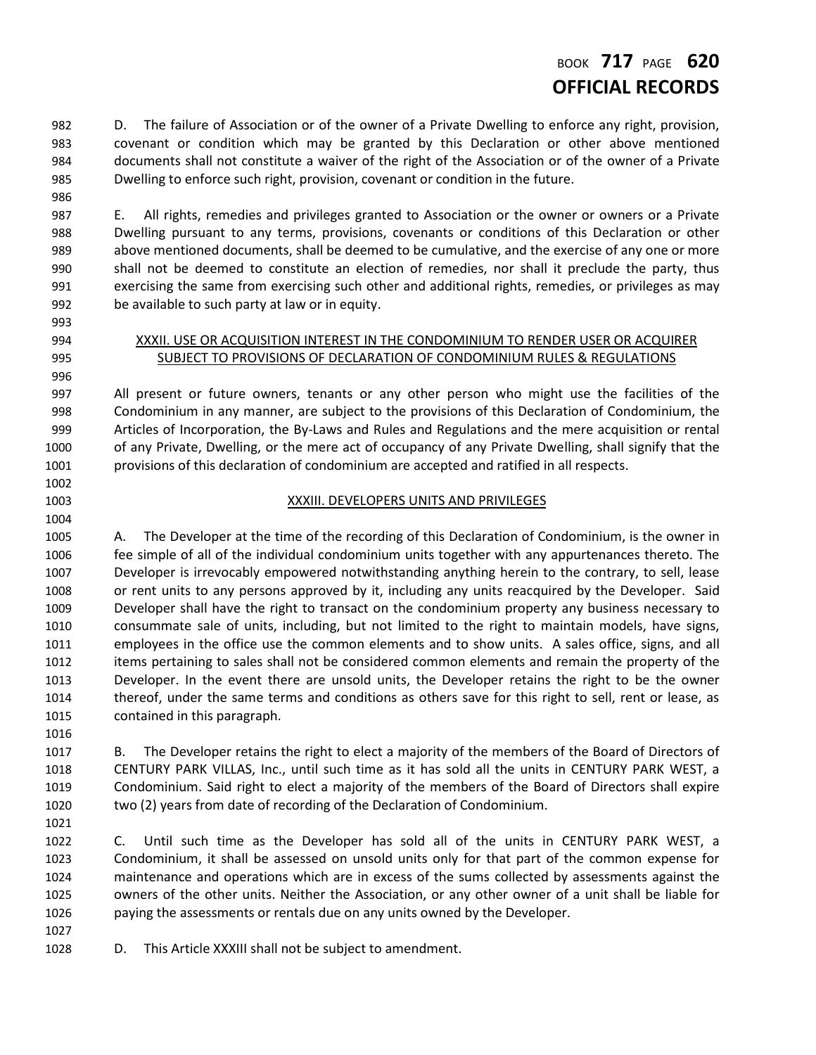# BOOK **717** PAGE **620 OFFICIAL RECORDS**

 D. The failure of Association or of the owner of a Private Dwelling to enforce any right, provision, covenant or condition which may be granted by this Declaration or other above mentioned documents shall not constitute a waiver of the right of the Association or of the owner of a Private Dwelling to enforce such right, provision, covenant or condition in the future.

 E. All rights, remedies and privileges granted to Association or the owner or owners or a Private Dwelling pursuant to any terms, provisions, covenants or conditions of this Declaration or other above mentioned documents, shall be deemed to be cumulative, and the exercise of any one or more shall not be deemed to constitute an election of remedies, nor shall it preclude the party, thus exercising the same from exercising such other and additional rights, remedies, or privileges as may be available to such party at law or in equity.

### XXXII. USE OR ACQUISITION INTEREST IN THE CONDOMINIUM TO RENDER USER OR ACQUIRER SUBJECT TO PROVISIONS OF DECLARATION OF CONDOMINIUM RULES & REGULATIONS

 All present or future owners, tenants or any other person who might use the facilities of the Condominium in any manner, are subject to the provisions of this Declaration of Condominium, the Articles of Incorporation, the By-Laws and Rules and Regulations and the mere acquisition or rental of any Private, Dwelling, or the mere act of occupancy of any Private Dwelling, shall signify that the provisions of this declaration of condominium are accepted and ratified in all respects.

### XXXIII. DEVELOPERS UNITS AND PRIVILEGES

 A. The Developer at the time of the recording of this Declaration of Condominium, is the owner in fee simple of all of the individual condominium units together with any appurtenances thereto. The Developer is irrevocably empowered notwithstanding anything herein to the contrary, to sell, lease or rent units to any persons approved by it, including any units reacquired by the Developer. Said Developer shall have the right to transact on the condominium property any business necessary to consummate sale of units, including, but not limited to the right to maintain models, have signs, employees in the office use the common elements and to show units. A sales office, signs, and all items pertaining to sales shall not be considered common elements and remain the property of the Developer. In the event there are unsold units, the Developer retains the right to be the owner thereof, under the same terms and conditions as others save for this right to sell, rent or lease, as contained in this paragraph.

 B. The Developer retains the right to elect a majority of the members of the Board of Directors of CENTURY PARK VILLAS, Inc., until such time as it has sold all the units in CENTURY PARK WEST, a Condominium. Said right to elect a majority of the members of the Board of Directors shall expire two (2) years from date of recording of the Declaration of Condominium.

 C. Until such time as the Developer has sold all of the units in CENTURY PARK WEST, a Condominium, it shall be assessed on unsold units only for that part of the common expense for maintenance and operations which are in excess of the sums collected by assessments against the owners of the other units. Neither the Association, or any other owner of a unit shall be liable for paying the assessments or rentals due on any units owned by the Developer.

D. This Article XXXIII shall not be subject to amendment.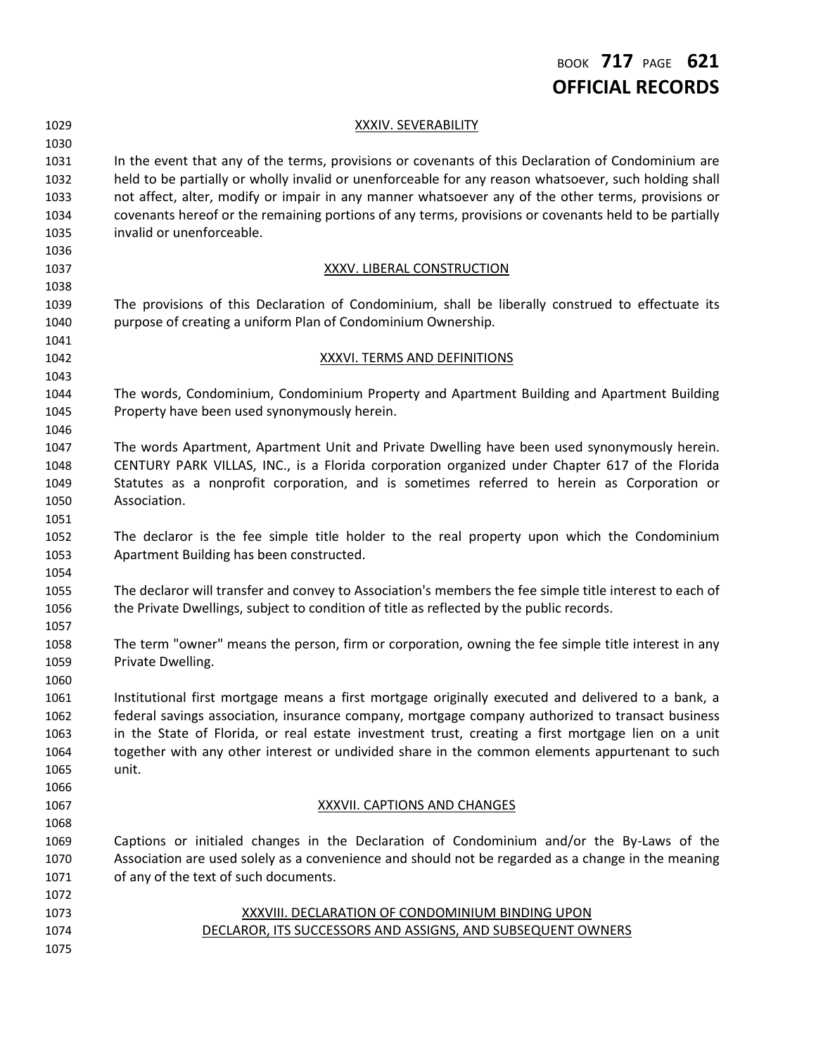# BOOK **717** PAGE **621 OFFICIAL RECORDS**

### XXXIV. SEVERABILITY In the event that any of the terms, provisions or covenants of this Declaration of Condominium are held to be partially or wholly invalid or unenforceable for any reason whatsoever, such holding shall not affect, alter, modify or impair in any manner whatsoever any of the other terms, provisions or covenants hereof or the remaining portions of any terms, provisions or covenants held to be partially invalid or unenforceable. XXXV. LIBERAL CONSTRUCTION The provisions of this Declaration of Condominium, shall be liberally construed to effectuate its purpose of creating a uniform Plan of Condominium Ownership. XXXVI. TERMS AND DEFINITIONS The words, Condominium, Condominium Property and Apartment Building and Apartment Building Property have been used synonymously herein. The words Apartment, Apartment Unit and Private Dwelling have been used synonymously herein. CENTURY PARK VILLAS, INC., is a Florida corporation organized under Chapter 617 of the Florida Statutes as a nonprofit corporation, and is sometimes referred to herein as Corporation or Association. The declaror is the fee simple title holder to the real property upon which the Condominium Apartment Building has been constructed. The declaror will transfer and convey to Association's members the fee simple title interest to each of the Private Dwellings, subject to condition of title as reflected by the public records. The term "owner" means the person, firm or corporation, owning the fee simple title interest in any Private Dwelling. Institutional first mortgage means a first mortgage originally executed and delivered to a bank, a federal savings association, insurance company, mortgage company authorized to transact business in the State of Florida, or real estate investment trust, creating a first mortgage lien on a unit together with any other interest or undivided share in the common elements appurtenant to such unit. XXXVII. CAPTIONS AND CHANGES Captions or initialed changes in the Declaration of Condominium and/or the By-Laws of the Association are used solely as a convenience and should not be regarded as a change in the meaning of any of the text of such documents. XXXVIII. DECLARATION OF CONDOMINIUM BINDING UPON DECLAROR, ITS SUCCESSORS AND ASSIGNS, AND SUBSEQUENT OWNERS